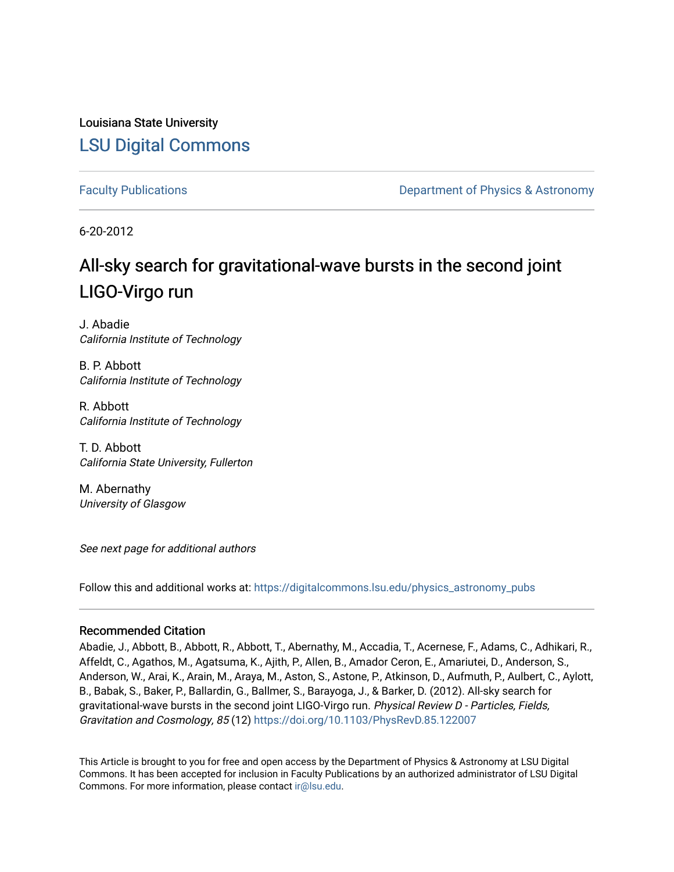Louisiana State University [LSU Digital Commons](https://digitalcommons.lsu.edu/)

[Faculty Publications](https://digitalcommons.lsu.edu/physics_astronomy_pubs) **Example 2** Constant Department of Physics & Astronomy

6-20-2012

# All-sky search for gravitational-wave bursts in the second joint LIGO-Virgo run

J. Abadie California Institute of Technology

B. P. Abbott California Institute of Technology

R. Abbott California Institute of Technology

T. D. Abbott California State University, Fullerton

M. Abernathy University of Glasgow

See next page for additional authors

Follow this and additional works at: [https://digitalcommons.lsu.edu/physics\\_astronomy\\_pubs](https://digitalcommons.lsu.edu/physics_astronomy_pubs?utm_source=digitalcommons.lsu.edu%2Fphysics_astronomy_pubs%2F1140&utm_medium=PDF&utm_campaign=PDFCoverPages) 

## Recommended Citation

Abadie, J., Abbott, B., Abbott, R., Abbott, T., Abernathy, M., Accadia, T., Acernese, F., Adams, C., Adhikari, R., Affeldt, C., Agathos, M., Agatsuma, K., Ajith, P., Allen, B., Amador Ceron, E., Amariutei, D., Anderson, S., Anderson, W., Arai, K., Arain, M., Araya, M., Aston, S., Astone, P., Atkinson, D., Aufmuth, P., Aulbert, C., Aylott, B., Babak, S., Baker, P., Ballardin, G., Ballmer, S., Barayoga, J., & Barker, D. (2012). All-sky search for gravitational-wave bursts in the second joint LIGO-Virgo run. Physical Review D - Particles, Fields, Gravitation and Cosmology, 85 (12) <https://doi.org/10.1103/PhysRevD.85.122007>

This Article is brought to you for free and open access by the Department of Physics & Astronomy at LSU Digital Commons. It has been accepted for inclusion in Faculty Publications by an authorized administrator of LSU Digital Commons. For more information, please contact [ir@lsu.edu](mailto:ir@lsu.edu).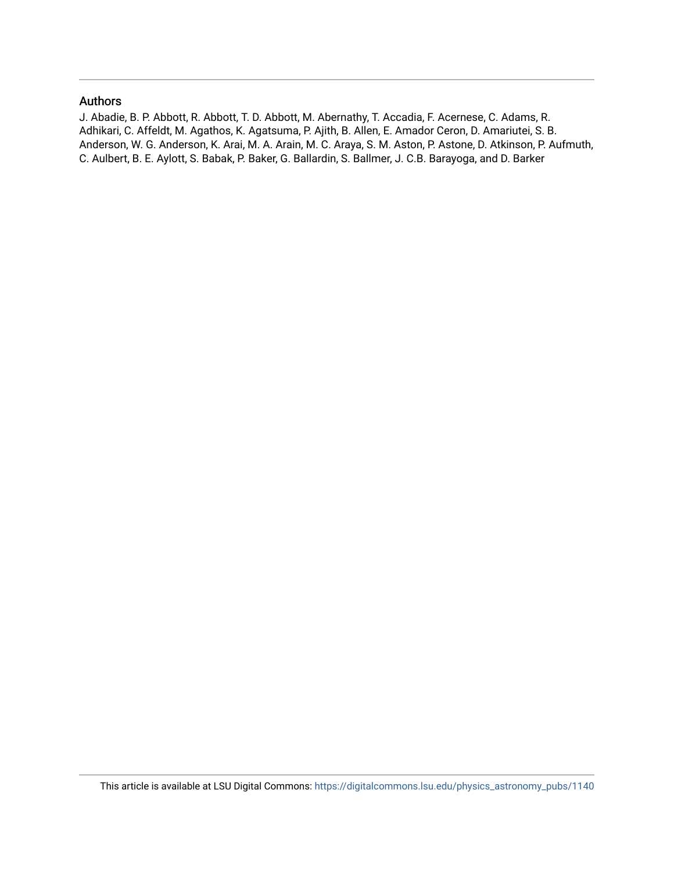## Authors

J. Abadie, B. P. Abbott, R. Abbott, T. D. Abbott, M. Abernathy, T. Accadia, F. Acernese, C. Adams, R. Adhikari, C. Affeldt, M. Agathos, K. Agatsuma, P. Ajith, B. Allen, E. Amador Ceron, D. Amariutei, S. B. Anderson, W. G. Anderson, K. Arai, M. A. Arain, M. C. Araya, S. M. Aston, P. Astone, D. Atkinson, P. Aufmuth, C. Aulbert, B. E. Aylott, S. Babak, P. Baker, G. Ballardin, S. Ballmer, J. C.B. Barayoga, and D. Barker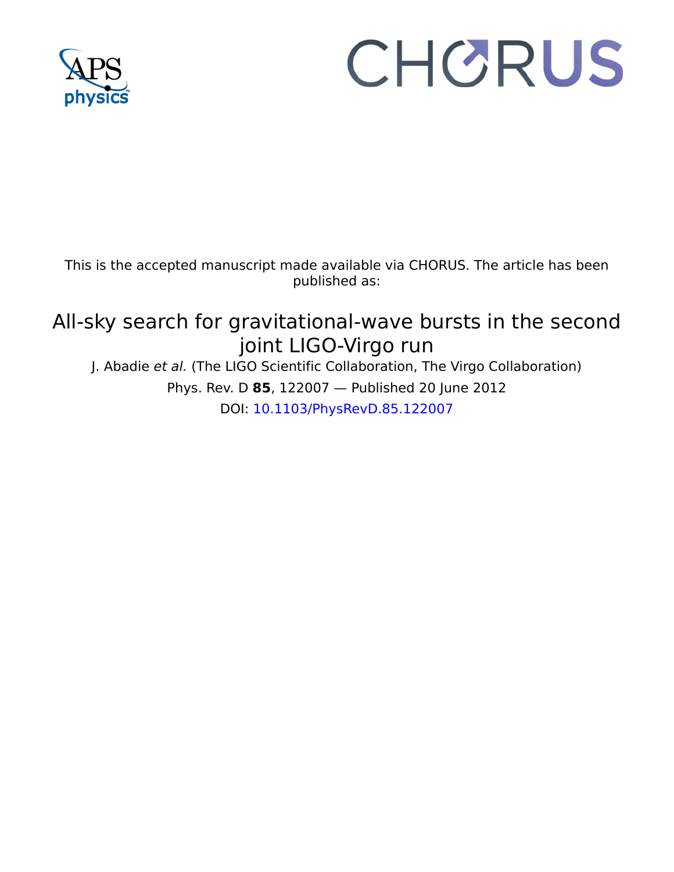

# CHORUS

This is the accepted manuscript made available via CHORUS. The article has been published as:

# All-sky search for gravitational-wave bursts in the second joint LIGO-Virgo run

J. Abadie et al. (The LIGO Scientific Collaboration, The Virgo Collaboration) Phys. Rev. D **85**, 122007 — Published 20 June 2012 DOI: [10.1103/PhysRevD.85.122007](http://dx.doi.org/10.1103/PhysRevD.85.122007)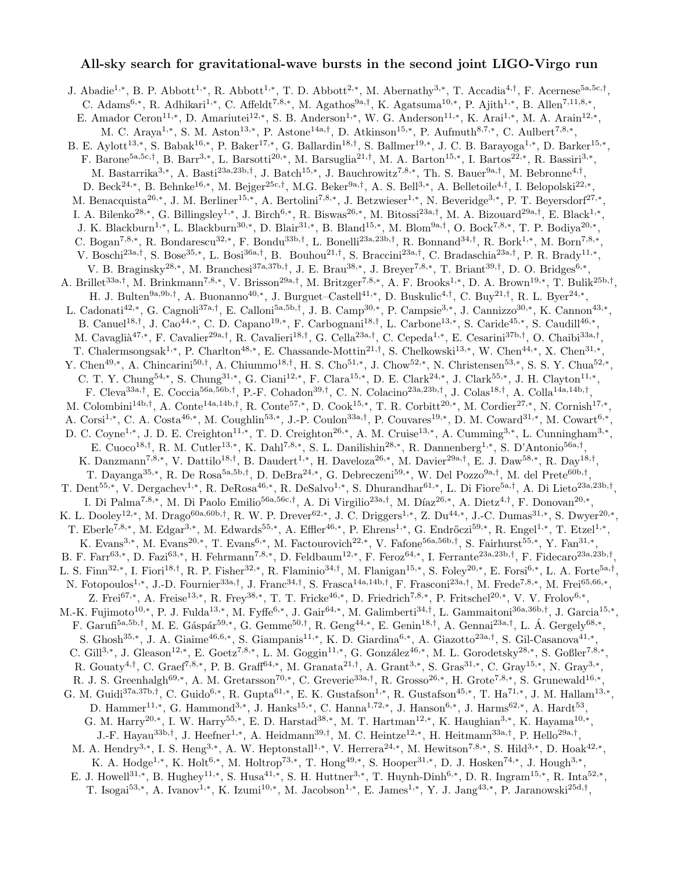### All-sky search for gravitational-wave bursts in the second joint LIGO-Virgo run

J. Abadie<sup>1,∗</sup>, B. P. Abbott<sup>1,∗</sup>, R. Abbott<sup>1,∗</sup>, T. D. Abbott<sup>2,∗</sup>, M. Abernathy<sup>3,∗</sup>, T. Accadia<sup>4,†</sup>, F. Acernese<sup>5a,5c,†</sup>, C. Adams<sup>6,\*</sup>, R. Adhikari<sup>1,\*</sup>, C. Affeldt<sup>7,8,\*</sup>, M. Agathos<sup>9a,†</sup>, K. Agatsuma<sup>10,\*</sup>, P. Ajith<sup>1,\*</sup>, B. Allen<sup>7,11,8,\*</sup>, E. Amador Ceron<sup>11,\*</sup>, D. Amariutei<sup>12,\*</sup>, S. B. Anderson<sup>1,\*</sup>, W. G. Anderson<sup>11,\*</sup>, K. Arai<sup>1,\*</sup>, M. A. Arain<sup>12,\*</sup>, M. C. Araya<sup>1,\*</sup>, S. M. Aston<sup>13,\*</sup>, P. Astone<sup>14a,†</sup>, D. Atkinson<sup>15,\*</sup>, P. Aufmuth<sup>8,7,\*</sup>, C. Aulbert<sup>7,8,\*</sup>, B. E. Aylott<sup>13,\*</sup>, S. Babak<sup>16,\*</sup>, P. Baker<sup>17,\*</sup>, G. Ballardin<sup>18,†</sup>, S. Ballmer<sup>19,\*</sup>, J. C. B. Barayoga<sup>1,\*</sup>, D. Barker<sup>15,\*</sup>, F. Barone<sup>5a,5c,†</sup>, B. Barr<sup>3,\*</sup>, L. Barsotti<sup>20,\*</sup>, M. Barsuglia<sup>21,†</sup>, M. A. Barton<sup>15,\*</sup>, I. Bartos<sup>22,\*</sup>, R. Bassiri<sup>3,\*</sup>, M. Bastarrika<sup>3,\*</sup>, A. Basti<sup>23a,23b,†</sup>, J. Batch<sup>15,\*</sup>, J. Bauchrowitz<sup>7,8,\*</sup>, Th. S. Bauer<sup>9a,†</sup>, M. Bebronne<sup>4,†</sup>, D. Beck<sup>24,\*</sup>, B. Behnke<sup>16,\*</sup>, M. Bejger<sup>25c,†</sup>, M.G. Beker<sup>9a,†</sup>, A. S. Bell<sup>3,\*</sup>, A. Belletoile<sup>4,†</sup>, I. Belopolski<sup>22,\*</sup>, M. Benacquista<sup>26,∗</sup>, J. M. Berliner<sup>15,∗</sup>, A. Bertolini<sup>7,8,∗</sup>, J. Betzwieser<sup>1,∗</sup>, N. Beveridge<sup>3,∗</sup>, P. T. Beyersdorf<sup>27,∗</sup>, I. A. Bilenko<sup>28,\*</sup>, G. Billingsley<sup>1,\*</sup>, J. Birch<sup>6,\*</sup>, R. Biswas<sup>26,\*</sup>, M. Bitossi<sup>23a,†</sup>, M. A. Bizouard<sup>29a,†</sup>, E. Black<sup>1,\*</sup>, J. K. Blackburn<sup>1,\*</sup>, L. Blackburn<sup>30,\*</sup>, D. Blair<sup>31,\*</sup>, B. Bland<sup>15,\*</sup>, M. Blom<sup>9a,†</sup>, O. Bock<sup>7,8,\*</sup>, T. P. Bodiya<sup>20,\*</sup>, C. Bogan<sup>7,8,\*</sup>, R. Bondarescu<sup>32,\*</sup>, F. Bondu<sup>33b,†</sup>, L. Bonelli<sup>23a,23b,†</sup>, R. Bonnand<sup>34,†</sup>, R. Bork<sup>1,\*</sup>, M. Born<sup>7,8,\*</sup>, V. Boschi<sup>23a,†</sup>, S. Bose<sup>35,\*</sup>, L. Bosi<sup>36a,†</sup>, B. Bouhou<sup>21,†</sup>, S. Braccini<sup>23a,†</sup>, C. Bradaschia<sup>23a,†</sup>, P. R. Brady<sup>11,\*</sup>, V. B. Braginsky<sup>28,\*</sup>, M. Branchesi<sup>37a,37b,†</sup>, J. E. Brau<sup>38,\*</sup>, J. Breyer<sup>7,8,\*</sup>, T. Briant<sup>39,†</sup>, D. O. Bridges<sup>6,\*</sup>, A. Brillet<sup>33a,†</sup>, M. Brinkmann<sup>7,8,\*</sup>, V. Brisson<sup>29a,†</sup>, M. Britzger<sup>7,8,\*</sup>, A. F. Brooks<sup>1,\*</sup>, D. A. Brown<sup>19,\*</sup>, T. Bulik<sup>25b,†</sup>, H. J. Bulten<sup>9a,9b,†</sup>, A. Buonanno<sup>40,\*</sup>, J. Burguet–Castell<sup>41,\*</sup>, D. Buskulic<sup>4,†</sup>, C. Buy<sup>21,†</sup>, R. L. Byer<sup>24,\*</sup>, L. Cadonati<sup>42,\*</sup>, G. Cagnoli<sup>37a,†</sup>, E. Calloni<sup>5a,5b,†</sup>, J. B. Camp<sup>30,\*</sup>, P. Campsie<sup>3,\*</sup>, J. Cannizzo<sup>30,\*</sup>, K. Cannon<sup>43,\*</sup>, B. Canuel<sup>18,†</sup>, J. Cao<sup>44,\*</sup>, C. D. Capano<sup>19,\*</sup>, F. Carbognani<sup>18,†</sup>, L. Carbone<sup>13,\*</sup>, S. Caride<sup>45,\*</sup>, S. Caudill<sup>46,\*</sup>, M. Cavaglià<sup>47,\*</sup>, F. Cavalier<sup>29a,†</sup>, R. Cavalieri<sup>18,†</sup>, G. Cella<sup>23a,†</sup>, C. Cepeda<sup>1,\*</sup>, E. Cesarini<sup>37b,†</sup>, O. Chaibi<sup>33a,†</sup>, T. Chalermsongsak<sup>1,\*</sup>, P. Charlton<sup>48,\*</sup>, E. Chassande-Mottin<sup>21,†</sup>, S. Chelkowski<sup>13,\*</sup>, W. Chen<sup>44,\*</sup>, X. Chen<sup>31,\*</sup>, Y. Chen<sup>49,∗</sup>, A. Chincarini<sup>50,†</sup>, A. Chiummo<sup>18,†</sup>, H. S. Cho<sup>51,∗</sup>, J. Chow<sup>52,∗</sup>, N. Christensen<sup>53,∗</sup>, S. S. Y. Chua<sup>52,∗</sup>, C. T. Y. Chung<sup>54,\*</sup>, S. Chung<sup>31,\*</sup>, G. Ciani<sup>12,\*</sup>, F. Clara<sup>15,\*</sup>, D. E. Clark<sup>24,\*</sup>, J. Clark<sup>55,\*</sup>, J. H. Clayton<sup>11,\*</sup>, F. Cleva<sup>33a,†</sup>, E. Coccia<sup>56a,56b,†</sup>, P.-F. Cohadon<sup>39,†</sup>, C. N. Colacino<sup>23a,23b,†</sup>, J. Colas<sup>18,†</sup>, A. Colla<sup>14a,14b,†</sup>, M. Colombini<sup>14b,†</sup>, A. Conte<sup>14a,14b,†</sup>, R. Conte<sup>57,\*</sup>, D. Cook<sup>15,\*</sup>, T. R. Corbitt<sup>20,\*</sup>, M. Cordier<sup>27,\*</sup>, N. Cornish<sup>17,\*</sup>, A. Corsi<sup>1,\*</sup>, C. A. Costa<sup>46,\*</sup>, M. Coughlin<sup>53,\*</sup>, J.-P. Coulon<sup>33a,†</sup>, P. Couvares<sup>19,\*</sup>, D. M. Coward<sup>31,\*</sup>, M. Cowart<sup>6,\*</sup>, D. C. Coyne<sup>1,\*</sup>, J. D. E. Creighton<sup>11,\*</sup>, T. D. Creighton<sup>26,\*</sup>, A. M. Cruise<sup>13,\*</sup>, A. Cumming<sup>3,\*</sup>, L. Cunningham<sup>3,\*</sup>, E. Cuoco<sup>18,†</sup>, R. M. Cutler<sup>13,\*</sup>, K. Dahl<sup>7,8,\*</sup>, S. L. Danilishin<sup>28,\*</sup>, R. Dannenberg<sup>1,\*</sup>, S. D'Antonio<sup>56a,†</sup>, K. Danzmann<sup>7,8,\*</sup>, V. Dattilo<sup>18,†</sup>, B. Daudert<sup>1,\*</sup>, H. Daveloza<sup>26,\*</sup>, M. Davier<sup>29a,†</sup>, E. J. Daw<sup>58,\*</sup>, R. Day<sup>18,†</sup>, T. Dayanga<sup>35,\*</sup>, R. De Rosa<sup>5a,5b,†</sup>, D. DeBra<sup>24,\*</sup>, G. Debreczeni<sup>59,\*</sup>, W. Del Pozzo<sup>9a,†</sup>, M. del Prete<sup>60b,†</sup>, T. Dent<sup>55,\*</sup>, V. Dergachev<sup>1,\*</sup>, R. DeRosa<sup>46,\*</sup>, R. DeSalvo<sup>1,\*</sup>, S. Dhurandhar<sup>61,\*</sup>, L. Di Fiore<sup>5a,†</sup>, A. Di Lieto<sup>23a,23b,†</sup>, I. Di Palma<sup>7,8,∗</sup>, M. Di Paolo Emilio<sup>56a,56c,†</sup>, A. Di Virgilio<sup>23a,†</sup>, M. Díaz<sup>26,∗</sup>, A. Dietz<sup>4,†</sup>, F. Donovan<sup>20,∗</sup>, K. L. Dooley<sup>12,\*</sup>, M. Drago<sup>60a,60b,†</sup>, R. W. P. Drever<sup>62,\*</sup>, J. C. Driggers<sup>1,\*</sup>, Z. Du<sup>44,\*</sup>, J.-C. Dumas<sup>31,\*</sup>, S. Dwyer<sup>20,\*</sup>, T. Eberle<sup>7,8,\*</sup>, M. Edgar<sup>3,\*</sup>, M. Edwards<sup>55,\*</sup>, A. Effler<sup>46,\*</sup>, P. Ehrens<sup>1,\*</sup>, G. Endrőczi<sup>59,\*</sup>, R. Engel<sup>1,\*</sup>, T. Etzel<sup>1,\*</sup>, K. Evans<sup>3,\*</sup>, M. Evans<sup>20,\*</sup>, T. Evans<sup>6,\*</sup>, M. Factourovich<sup>22,\*</sup>, V. Fafone<sup>56a,56b,†</sup>, S. Fairhurst<sup>55,\*</sup>, Y. Fan<sup>31,\*</sup>, B. F. Farr<sup>63,\*</sup>, D. Fazi<sup>63,\*</sup>, H. Fehrmann<sup>7,8,\*</sup>, D. Feldbaum<sup>12,\*</sup>, F. Feroz<sup>64,\*</sup>, I. Ferrante<sup>23a,23b,†</sup>, F. Fidecaro<sup>23a,23b,†</sup>, L. S. Finn<sup>32,\*</sup>, I. Fiori<sup>18,†</sup>, R. P. Fisher<sup>32,\*</sup>, R. Flaminio<sup>34,†</sup>, M. Flanigan<sup>15,\*</sup>, S. Foley<sup>20,\*</sup>, E. Forsi<sup>6,\*</sup>, L. A. Forte<sup>5a,†</sup>, N. Fotopoulos<sup>1,\*</sup>, J.-D. Fournier<sup>33a,†</sup>, J. Franc<sup>34,†</sup>, S. Frasca<sup>14a,14b,†</sup>, F. Frasconi<sup>23a,†</sup>, M. Frede<sup>7,8,\*</sup>, M. Frei<sup>65,66,\*</sup>, Z. Frei<sup>67,\*</sup>, A. Freise<sup>13,\*</sup>, R. Frey<sup>38,\*</sup>, T. T. Fricke<sup>46,\*</sup>, D. Friedrich<sup>7,8,\*</sup>, P. Fritschel<sup>20,\*</sup>, V. V. Frolov<sup>6,\*</sup>, M.-K. Fujimoto<sup>10,\*</sup>, P. J. Fulda<sup>13,\*</sup>, M. Fyffe<sup>6,\*</sup>, J. Gair<sup>64,\*</sup>, M. Galimberti<sup>34,†</sup>, L. Gammaitoni<sup>36a,36b,†</sup>, J. Garcia<sup>15,\*</sup>, F. Garufi<sup>5a,5b,†</sup>, M. E. Gáspár<sup>59,\*</sup>, G. Gemme<sup>50,†</sup>, R. Geng<sup>44,\*</sup>, E. Genin<sup>18,†</sup>, A. Gennai<sup>23a,†</sup>, L. Á. Gergely<sup>68,\*</sup>, S. Ghosh<sup>35,\*</sup>, J. A. Giaime<sup>46,6,\*</sup>, S. Giampanis<sup>11,\*</sup>, K. D. Giardina<sup>6,\*</sup>, A. Giazotto<sup>23a,†</sup>, S. Gil-Casanova<sup>41,\*</sup>, C. Gill<sup>3,\*</sup>, J. Gleason<sup>12,\*</sup>, E. Goetz<sup>7,8,\*</sup>, L. M. Goggin<sup>11,\*</sup>, G. González<sup>46,\*</sup>, M. L. Gorodetsky<sup>28,\*</sup>, S. Goßler<sup>7,8,\*</sup>, R. Gouaty<sup>4,†</sup>, C. Graef<sup>7,8,\*</sup>, P. B. Graff<sup>64,\*</sup>, M. Granata<sup>21,†</sup>, A. Grant<sup>3,\*</sup>, S. Gras<sup>31,\*</sup>, C. Gray<sup>15,\*</sup>, N. Gray<sup>3,\*</sup>, R. J. S. Greenhalgh<sup>69,\*</sup>, A. M. Gretarsson<sup>70,\*</sup>, C. Greverie<sup>33a,†</sup>, R. Grosso<sup>26,\*</sup>, H. Grote<sup>7,8,\*</sup>, S. Grunewald<sup>16,\*</sup>, G. M. Guidi<sup>37a,37b,†</sup>, C. Guido<sup>6,\*</sup>, R. Gupta<sup>61,\*</sup>, E. K. Gustafson<sup>1,\*</sup>, R. Gustafson<sup>45,\*</sup>, T. Ha<sup>71,\*</sup>, J. M. Hallam<sup>13,\*</sup>, D. Hammer<sup>11,\*</sup>, G. Hammond<sup>3,\*</sup>, J. Hanks<sup>15,\*</sup>, C. Hanna<sup>1,72,\*</sup>, J. Hanson<sup>6,\*</sup>, J. Harms<sup>62,\*</sup>, A. Hardt<sup>53</sup>, G. M. Harry<sup>20,\*</sup>, I. W. Harry<sup>55,\*</sup>, E. D. Harstad<sup>38,\*</sup>, M. T. Hartman<sup>12,\*</sup>, K. Haughian<sup>3,\*</sup>, K. Hayama<sup>10,\*</sup>, J.-F. Hayau<sup>33b,†</sup>, J. Heefner<sup>1,\*</sup>, A. Heidmann<sup>39,†</sup>, M. C. Heintze<sup>12,\*</sup>, H. Heitmann<sup>33a,†</sup>, P. Hello<sup>29a,†</sup>, M. A. Hendry<sup>3,\*</sup>, I. S. Heng<sup>3,\*</sup>, A. W. Heptonstall<sup>1,\*</sup>, V. Herrera<sup>24,\*</sup>, M. Hewitson<sup>7,8,\*</sup>, S. Hild<sup>3,\*</sup>, D. Hoak<sup>42,\*</sup>, K. A. Hodge<sup>1,\*</sup>, K. Holt<sup>6,\*</sup>, M. Holtrop<sup>73,\*</sup>, T. Hong<sup>49,\*</sup>, S. Hooper<sup>31,\*</sup>, D. J. Hosken<sup>74,\*</sup>, J. Hough<sup>3,\*</sup>, E. J. Howell<sup>31,\*</sup>, B. Hughey<sup>11,\*</sup>, S. Husa<sup>41,\*</sup>, S. H. Huttner<sup>3,\*</sup>, T. Huynh-Dinh<sup>6,\*</sup>, D. R. Ingram<sup>15,\*</sup>, R. Inta<sup>52,\*</sup>, T. Isogai<sup>53,\*</sup>, A. Ivanov<sup>1,\*</sup>, K. Izumi<sup>10,\*</sup>, M. Jacobson<sup>1,\*</sup>, E. James<sup>1,\*</sup>, Y. J. Jang<sup>43,\*</sup>, P. Jaranowski<sup>25d,†</sup>,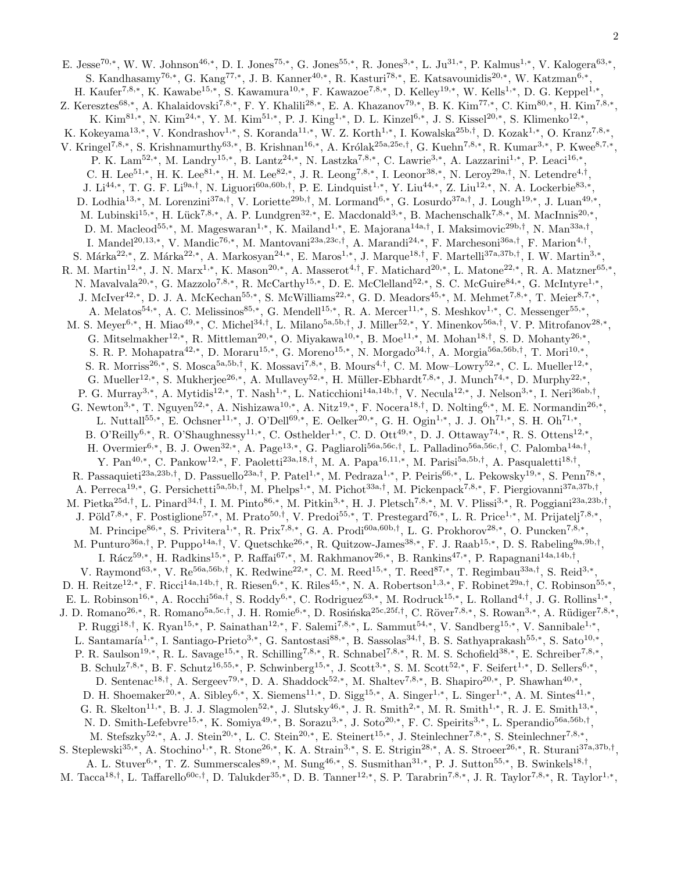2

E. Jesse<sup>70,\*</sup>, W. W. Johnson<sup>46,\*</sup>, D. I. Jones<sup>75,\*</sup>, G. Jones<sup>55,\*</sup>, R. Jones<sup>3,\*</sup>, L. Ju<sup>31,\*</sup>, P. Kalmus<sup>1,\*</sup>, V. Kalogera<sup>63,\*</sup>, S. Kandhasamy<sup>76,\*</sup>, G. Kang<sup>77,\*</sup>, J. B. Kanner<sup>40,\*</sup>, R. Kasturi<sup>78,\*</sup>, E. Katsavounidis<sup>20,\*</sup>, W. Katzman<sup>6,\*</sup>, H. Kaufer<sup>7,8,\*</sup>, K. Kawabe<sup>15,\*</sup>, S. Kawamura<sup>10,\*</sup>, F. Kawazoe<sup>7,8,\*</sup>, D. Kelley<sup>19,\*</sup>, W. Kells<sup>1,\*</sup>, D. G. Keppel<sup>1,\*</sup>, Z. Keresztes<sup>68,\*</sup>, A. Khalaidovski<sup>7,8,\*</sup>, F. Y. Khalili<sup>28,\*</sup>, E. A. Khazanov<sup>79,\*</sup>, B. K. Kim<sup>77,\*</sup>, C. Kim<sup>80,\*</sup>, H. Kim<sup>7,8,\*</sup>, K. Kim<sup>81,∗</sup>, N. Kim<sup>24,∗</sup>, Y. M. Kim<sup>51,∗</sup>, P. J. King<sup>1,∗</sup>, D. L. Kinzel<sup>6,∗</sup>, J. S. Kissel<sup>20,∗</sup>, S. Klimenko<sup>12,∗</sup>, K. Kokeyama<sup>13,\*</sup>, V. Kondrashov<sup>1,\*</sup>, S. Koranda<sup>11,\*</sup>, W. Z. Korth<sup>1,\*</sup>, I. Kowalska<sup>25b,†</sup>, D. Kozak<sup>1,\*</sup>, O. Kranz<sup>7,8,\*</sup>, V. Kringel<sup>7,8,\*</sup>, S. Krishnamurthy<sup>63,\*</sup>, B. Krishnan<sup>16,\*</sup>, A. Królak<sup>25a,25e,†</sup>, G. Kuehn<sup>7,8,\*</sup>, R. Kumar<sup>3,\*</sup>, P. Kwee<sup>8,7,\*</sup>, P. K. Lam<sup>52,\*</sup>, M. Landry<sup>15,\*</sup>, B. Lantz<sup>24,\*</sup>, N. Lastzka<sup>7,8,\*</sup>, C. Lawrie<sup>3,\*</sup>, A. Lazzarini<sup>1,\*</sup>, P. Leaci<sup>16,\*</sup>, C. H. Lee<sup>51,\*</sup>, H. K. Lee<sup>81,\*</sup>, H. M. Lee<sup>82,\*</sup>, J. R. Leong<sup>7,8,\*</sup>, I. Leonor<sup>38,\*</sup>, N. Leroy<sup>29a,†</sup>, N. Letendre<sup>4,†</sup>, J. Li<sup>44,∗</sup>, T. G. F. Li<sup>9a,†</sup>, N. Liguori<sup>60a,60b,†</sup>, P. E. Lindquist<sup>1,∗</sup>, Y. Liu<sup>44,∗</sup>, Z. Liu<sup>12,∗</sup>, N. A. Lockerbie<sup>83,∗</sup>, D. Lodhia<sup>13,\*</sup>, M. Lorenzini<sup>37a,†</sup>, V. Loriette<sup>29b,†</sup>, M. Lormand<sup>6,\*</sup>, G. Losurdo<sup>37a,†</sup>, J. Lough<sup>19,\*</sup>, J. Luan<sup>49,\*</sup>, M. Lubinski<sup>15,\*</sup>, H. Lück<sup>7,8,\*</sup>, A. P. Lundgren<sup>32,\*</sup>, E. Macdonald<sup>3,\*</sup>, B. Machenschalk<sup>7,8,\*</sup>, M. MacInnis<sup>20,\*</sup>, D. M. Macleod<sup>55,\*</sup>, M. Mageswaran<sup>1,\*</sup>, K. Mailand<sup>1,\*</sup>, E. Majorana<sup>14a,†</sup>, I. Maksimovic<sup>29b,†</sup>, N. Man<sup>33a,†</sup>, I. Mandel<sup>20,13,\*</sup>, V. Mandic<sup>76,\*</sup>, M. Mantovani<sup>23a,23c,†</sup>, A. Marandi<sup>24,\*</sup>, F. Marchesoni<sup>36a,†</sup>, F. Marion<sup>4,†</sup>, S. Márka<sup>22,∗</sup>, Z. Márka<sup>22,∗</sup>, A. Markosyan<sup>24,∗</sup>, E. Maros<sup>1,∗</sup>, J. Marque<sup>18,†</sup>, F. Martelli<sup>37a,37b,†</sup>, I. W. Martin<sup>3,∗</sup> , R. M. Martin<sup>12,\*</sup>, J. N. Marx<sup>1,\*</sup>, K. Mason<sup>20,\*</sup>, A. Masserot<sup>4,†</sup>, F. Matichard<sup>20,\*</sup>, L. Matone<sup>22,\*</sup>, R. A. Matzner<sup>65,\*</sup>, N. Mavalvala<sup>20,\*</sup>, G. Mazzolo<sup>7,8,\*</sup>, R. McCarthy<sup>15,\*</sup>, D. E. McClelland<sup>52,\*</sup>, S. C. McGuire<sup>84,\*</sup>, G. McIntyre<sup>1,\*</sup>, J. McIver<sup>42,\*</sup>, D. J. A. McKechan<sup>55,\*</sup>, S. McWilliams<sup>22,\*</sup>, G. D. Meadors<sup>45,\*</sup>, M. Mehmet<sup>7,8,\*</sup>, T. Meier<sup>8,7,\*</sup>, A. Melatos<sup>54,\*</sup>, A. C. Melissinos<sup>85,\*</sup>, G. Mendell<sup>15,\*</sup>, R. A. Mercer<sup>11,\*</sup>, S. Meshkov<sup>1,\*</sup>, C. Messenger<sup>55,\*</sup>, M. S. Meyer<sup>6,\*</sup>, H. Miao<sup>49,\*</sup>, C. Michel<sup>34,†</sup>, L. Milano<sup>5a,5b,†</sup>, J. Miller<sup>52,\*</sup>, Y. Minenkov<sup>56a,†</sup>, V. P. Mitrofanov<sup>28,\*</sup>, G. Mitselmakher<sup>12,\*</sup>, R. Mittleman<sup>20,\*</sup>, O. Miyakawa<sup>10,\*</sup>, B. Moe<sup>11,\*</sup>, M. Mohan<sup>18,†</sup>, S. D. Mohanty<sup>26,\*</sup>, S. R. P. Mohapatra<sup>42,\*</sup>, D. Moraru<sup>15,\*</sup>, G. Moreno<sup>15,\*</sup>, N. Morgado<sup>34,†</sup>, A. Morgia<sup>56a,56b,†</sup>, T. Mori<sup>10,\*</sup>, S. R. Morriss<sup>26,\*</sup>, S. Mosca<sup>5a,5b,†</sup>, K. Mossavi<sup>7,8,\*</sup>, B. Mours<sup>4,†</sup>, C. M. Mow–Lowry<sup>52,\*</sup>, C. L. Mueller<sup>12,\*</sup>, G. Mueller<sup>12,\*</sup>, S. Mukherjee<sup>26,\*</sup>, A. Mullavey<sup>52,\*</sup>, H. Müller-Ebhardt<sup>7,8,\*</sup>, J. Munch<sup>74,\*</sup>, D. Murphy<sup>22,\*</sup>, P. G. Murray<sup>3,∗</sup>, A. Mytidis<sup>12,∗</sup>, T. Nash<sup>1,∗</sup>, L. Naticchioni<sup>14a,14b,†</sup>, V. Necula<sup>12,∗</sup>, J. Nelson<sup>3,∗</sup>, I. Neri<sup>36ab,†</sup>, G. Newton<sup>3,\*</sup>, T. Nguyen<sup>52,\*</sup>, A. Nishizawa<sup>10,\*</sup>, A. Nitz<sup>19,\*</sup>, F. Nocera<sup>18,†</sup>, D. Nolting<sup>6,\*</sup>, M. E. Normandin<sup>26,\*</sup>, L. Nuttall<sup>55,\*</sup>, E. Ochsner<sup>11,\*</sup>, J. O'Dell<sup>69,\*</sup>, E. Oelker<sup>20,\*</sup>, G. H. Ogin<sup>1,\*</sup>, J. J. Oh<sup>71,\*</sup>, S. H. Oh<sup>71,\*</sup>, B. O'Reilly<sup>6,\*</sup>, R. O'Shaughnessy<sup>11,\*</sup>, C. Osthelder<sup>1,\*</sup>, C. D. Ott<sup>49,\*</sup>, D. J. Ottaway<sup>74,\*</sup>, R. S. Ottens<sup>12,\*</sup>, H. Overmier<sup>6,\*</sup>, B. J. Owen<sup>32,\*</sup>, A. Page<sup>13,\*</sup>, G. Pagliaroli<sup>56a,56c,†</sup>, L. Palladino<sup>56a,56c,†</sup>, C. Palomba<sup>14a,†</sup>, Y. Pan<sup>40,∗</sup>, C. Pankow<sup>12,∗</sup>, F. Paoletti<sup>23a,18,†</sup>, M. A. Papa<sup>16,11,∗</sup>, M. Parisi<sup>5a,5b,†</sup>, A. Pasqualetti<sup>18,†</sup>, R. Passaquieti<sup>23a,23b,†</sup>, D. Passuello<sup>23a,†</sup>, P. Patel<sup>1,\*</sup>, M. Pedraza<sup>1,\*</sup>, P. Peiris<sup>66,\*</sup>, L. Pekowsky<sup>19,\*</sup>, S. Penn<sup>78,\*</sup>, A. Perreca<sup>19,\*</sup>, G. Persichetti<sup>5a,5b,†</sup>, M. Phelps<sup>1,\*</sup>, M. Pichot<sup>33a,†</sup>, M. Pickenpack<sup>7,8,\*</sup>, F. Piergiovanni<sup>37a,37b,†</sup>, M. Pietka<sup>25d,†</sup>, L. Pinard<sup>34,†</sup>, I. M. Pinto<sup>86,\*</sup>, M. Pitkin<sup>3,\*</sup>, H. J. Pletsch<sup>7,8,\*</sup>, M. V. Plissi<sup>3,\*</sup>, R. Poggiani<sup>23a,23b,†</sup>, J. Pöld<sup>7,8,\*</sup>, F. Postiglione<sup>57,\*</sup>, M. Prato<sup>50,†</sup>, V. Predoi<sup>55,\*</sup>, T. Prestegard<sup>76,\*</sup>, L. R. Price<sup>1,\*</sup>, M. Prijatelj<sup>7,8,\*</sup>, M. Principe<sup>86,\*</sup>, S. Privitera<sup>1,\*</sup>, R. Prix<sup>7,8,\*</sup>, G. A. Prodi<sup>60a,60b,†</sup>, L. G. Prokhorov<sup>28,\*</sup>, O. Puncken<sup>7,8,\*</sup>, M. Punturo<sup>36a,†</sup>, P. Puppo<sup>14a,†</sup>, V. Quetschke<sup>26,\*</sup>, R. Quitzow-James<sup>38,\*</sup>, F. J. Raab<sup>15,\*</sup>, D. S. Rabeling<sup>9a,9b,†</sup>, I. Rácz<sup>59,\*</sup>, H. Radkins<sup>15,\*</sup>, P. Raffai<sup>67,\*</sup>, M. Rakhmanov<sup>26,\*</sup>, B. Rankins<sup>47,\*</sup>, P. Rapagnani<sup>14a,14b,†</sup>, V. Raymond<sup>63,\*</sup>, V. Re<sup>56a,56b,†</sup>, K. Redwine<sup>22,\*</sup>, C. M. Reed<sup>15,\*</sup>, T. Reed<sup>87,\*</sup>, T. Regimbau<sup>33a,†</sup>, S. Reid<sup>3,\*</sup>, D. H. Reitze<sup>12,\*</sup>, F. Ricci<sup>14a,14b,†</sup>, R. Riesen<sup>6,\*</sup>, K. Riles<sup>45,\*</sup>, N. A. Robertson<sup>1,3,\*</sup>, F. Robinet<sup>29a,†</sup>, C. Robinson<sup>55,\*</sup>, E. L. Robinson<sup>16,\*</sup>, A. Rocchi<sup>56a,†</sup>, S. Roddy<sup>6,\*</sup>, C. Rodriguez<sup>63,\*</sup>, M. Rodruck<sup>15,\*</sup>, L. Rolland<sup>4,†</sup>, J. G. Rollins<sup>1,\*</sup>, J. D. Romano<sup>26,\*</sup>, R. Romano<sup>5a,5c,†</sup>, J. H. Romie<sup>6,\*</sup>, D. Rosińska<sup>25c,25f,†</sup>, C. Röver<sup>7,8,\*</sup>, S. Rowan<sup>3,\*</sup>, A. Rüdiger<sup>7,8,\*</sup>, P. Ruggi<sup>18,†</sup>, K. Ryan<sup>15,\*</sup>, P. Sainathan<sup>12,\*</sup>, F. Salemi<sup>7,8,\*</sup>, L. Sammut<sup>54,\*</sup>, V. Sandberg<sup>15,\*</sup>, V. Sannibale<sup>1,\*</sup>, L. Santamaría<sup>1,∗</sup>, I. Santiago-Prieto<sup>3,∗</sup>, G. Santostasi<sup>88,∗</sup>, B. Sassolas<sup>34,†</sup>, B. S. Sathyaprakash<sup>55,∗</sup>, S. Sato<sup>10,∗</sup>, P. R. Saulson<sup>19,∗</sup>, R. L. Savage<sup>15,∗</sup>, R. Schilling<sup>7,8,∗</sup>, R. Schnabel<sup>7,8,∗</sup>, R. M. S. Schofield<sup>38,∗</sup>, E. Schreiber<sup>7,8,∗</sup>, B. Schulz<sup>7,8,\*</sup>, B. F. Schutz<sup>16,55,\*</sup>, P. Schwinberg<sup>15,\*</sup>, J. Scott<sup>3,\*</sup>, S. M. Scott<sup>52,\*</sup>, F. Seifert<sup>1,\*</sup>, D. Sellers<sup>6,\*</sup>, D. Sentenac<sup>18,†</sup>, A. Sergeev<sup>79,\*</sup>, D. A. Shaddock<sup>52,\*</sup>, M. Shaltev<sup>7,8,\*</sup>, B. Shapiro<sup>20,\*</sup>, P. Shawhan<sup>40,\*</sup>, D. H. Shoemaker<sup>20,\*</sup>, A. Sibley<sup>6,\*</sup>, X. Siemens<sup>11,\*</sup>, D. Sigg<sup>15,\*</sup>, A. Singer<sup>1,\*</sup>, L. Singer<sup>1,\*</sup>, A. M. Sintes<sup>41,\*</sup>, G. R. Skelton<sup>11,\*</sup>, B. J. J. Slagmolen<sup>52,\*</sup>, J. Slutsky<sup>46,\*</sup>, J. R. Smith<sup>2,\*</sup>, M. R. Smith<sup>1,\*</sup>, R. J. E. Smith<sup>13,\*</sup>, N. D. Smith-Lefebvre<sup>15,\*</sup>, K. Somiya<sup>49,\*</sup>, B. Sorazu<sup>3,\*</sup>, J. Soto<sup>20,\*</sup>, F. C. Speirits<sup>3,\*</sup>, L. Sperandio<sup>56a,56b,†</sup>, M. Stefszky<sup>52,\*</sup>, A. J. Stein<sup>20,\*</sup>, L. C. Stein<sup>20,\*</sup>, E. Steinert<sup>15,\*</sup>, J. Steinlechner<sup>7,8,\*</sup>, S. Steinlechner<sup>7,8,\*</sup>, S. Steplewski<sup>35,\*</sup>, A. Stochino<sup>1,\*</sup>, R. Stone<sup>26,\*</sup>, K. A. Strain<sup>3,\*</sup>, S. E. Strigin<sup>28,\*</sup>, A. S. Stroeer<sup>26,\*</sup>, R. Sturani<sup>37a,37b,†</sup>, A. L. Stuver<sup>6,\*</sup>, T. Z. Summerscales<sup>89,\*</sup>, M. Sung<sup>46,\*</sup>, S. Susmithan<sup>31,\*</sup>, P. J. Sutton<sup>55,\*</sup>, B. Swinkels<sup>18,†</sup>, M. Tacca<sup>18,†</sup>, L. Taffarello<sup>60c,†</sup>, D. Talukder<sup>35,\*</sup>, D. B. Tanner<sup>12,\*</sup>, S. P. Tarabrin<sup>7,8,\*</sup>, J. R. Taylor<sup>7,8,\*</sup>, R. Taylor<sup>1,\*</sup>,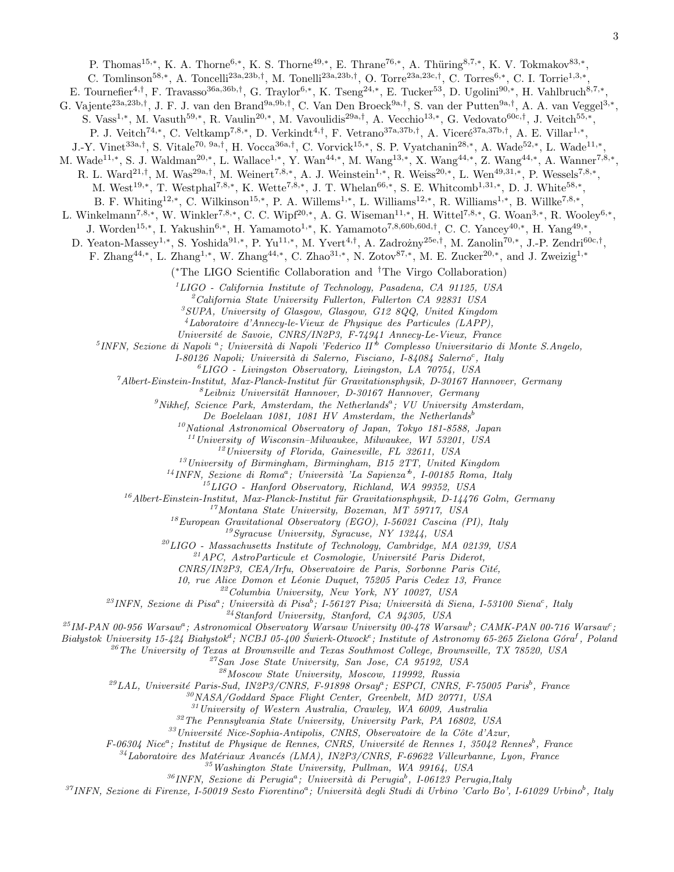P. Thomas<sup>15,\*</sup>, K. A. Thorne<sup>6,\*</sup>, K. S. Thorne<sup>49,\*</sup>, E. Thrane<sup>76,\*</sup>, A. Thüring<sup>8,7,\*</sup>, K. V. Tokmakov<sup>83,\*</sup>,

C. Tomlinson<sup>58,\*</sup>, A. Toncelli<sup>23a,23b,†</sup>, M. Tonelli<sup>23a,23b,†</sup>, O. Torre<sup>23a,23c,†</sup>, C. Torres<sup>6,\*</sup>, C. I. Torrie<sup>1,3,\*</sup>,

E. Tournefier<sup>4,†</sup>, F. Travasso<sup>36a,36b,†</sup>, G. Traylor<sup>6,\*</sup>, K. Tseng<sup>24,\*</sup>, E. Tucker<sup>53</sup>, D. Ugolini<sup>90,\*</sup>, H. Vahlbruch<sup>8,7,\*</sup> ,

G. Vajente<sup>23a,23b,†</sup>, J. F. J. van den Brand<sup>9a,9b,†</sup>, C. Van Den Broeck<sup>9a,†</sup>, S. van der Putten<sup>9a,†</sup>, A. A. van Veggel<sup>3,\*</sup>,

S. Vass<sup>1,\*</sup>, M. Vasuth<sup>59,\*</sup>, R. Vaulin<sup>20,\*</sup>, M. Vavoulidis<sup>29a,†</sup>, A. Vecchio<sup>13,\*</sup>, G. Vedovato<sup>60c,†</sup>, J. Veitch<sup>55,\*</sup>,

P. J. Veitch<sup>74,\*</sup>, C. Veltkamp<sup>7,8,\*</sup>, D. Verkindt<sup>4,†</sup>, F. Vetrano<sup>37a,37b,†</sup>, A. Viceré<sup>37a,37b,†</sup>, A. E. Villar<sup>1,\*</sup>,

J.-Y. Vinet<sup>33a,†</sup>, S. Vitale<sup>70, 9a,†</sup>, H. Vocca<sup>36a,†</sup>, C. Vorvick<sup>15,\*</sup>, S. P. Vyatchanin<sup>28,\*</sup>, A. Wade<sup>52,\*</sup>, L. Wade<sup>11,\*</sup>,

M. Wade<sup>11,\*</sup>, S. J. Waldman<sup>20,\*</sup>, L. Wallace<sup>1,\*</sup>, Y. Wan<sup>44,\*</sup>, M. Wang<sup>13,\*</sup>, X. Wang<sup>44,\*</sup>, Z. Wang<sup>44,\*</sup>, A. Wanner<sup>7,8,\*</sup>,

R. L. Ward<sup>21,†</sup>, M. Was<sup>29a,†</sup>, M. Weinert<sup>7,8,\*</sup>, A. J. Weinstein<sup>1,\*</sup>, R. Weiss<sup>20,\*</sup>, L. Wen<sup>49,31,\*</sup>, P. Wessels<sup>7,8,\*</sup>,

M. West<sup>19,\*</sup>, T. Westphal<sup>7,8,\*</sup>, K. Wette<sup>7,8,\*</sup>, J. T. Whelan<sup>66,\*</sup>, S. E. Whitcomb<sup>1,31,\*</sup>, D. J. White<sup>58,\*</sup>,

B. F. Whiting<sup>12,\*</sup>, C. Wilkinson<sup>15,\*</sup>, P. A. Willems<sup>1,\*</sup>, L. Williams<sup>12,\*</sup>, R. Williams<sup>1,\*</sup>, B. Willke<sup>7,8,\*</sup>,

L. Winkelmann<sup>7,8,\*</sup>, W. Winkler<sup>7,8,\*</sup>, C. C. Wipf<sup>20,\*</sup>, A. G. Wiseman<sup>11,\*</sup>, H. Wittel<sup>7,8,\*</sup>, G. Woan<sup>3,\*</sup>, R. Wooley<sup>6,\*</sup>,

J. Worden<sup>15,\*</sup>, I. Yakushin<sup>6,\*</sup>, H. Yamamoto<sup>1,\*</sup>, K. Yamamoto<sup>7,8,60b,60d,†</sup>, C. C. Yancey<sup>40,\*</sup>, H. Yang<sup>49,\*</sup>,

D. Yeaton-Massey<sup>1,\*</sup>, S. Yoshida<sup>91,\*</sup>, P. Yu<sup>11,\*</sup>, M. Yvert<sup>4,†</sup>, A. Zadrożny<sup>25e,†</sup>, M. Zanolin<sup>70,\*</sup>, J.-P. Zendri<sup>60c,†</sup>,

F. Zhang<sup>44,\*</sup>, L. Zhang<sup>1,\*</sup>, W. Zhang<sup>44,\*</sup>, C. Zhao<sup>31,\*</sup>, N. Zotov<sup>87,\*</sup>, M. E. Zucker<sup>20,\*</sup>, and J. Zweizig<sup>1,\*</sup>

( <sup>∗</sup>The LIGO Scientific Collaboration and †The Virgo Collaboration)

 $1'LIGO$  - California Institute of Technology, Pasadena, CA 91125, USA

 $^{2}California$  State University Fullerton, Fullerton CA 92831 USA

 ${}^{3}SUPA$ , University of Glasgow, Glasgow, G12 8QQ, United Kingdom

 $^{4}$ Laboratoire d'Annecy-le-Vieux de Physique des Particules (LAPP),

Universit´e de Savoie, CNRS/IN2P3, F-74941 Annecy-Le-Vieux, France

 $^{5}$ INFN, Sezione di Napoli<sup>a</sup>; Università di Napoli 'Federico II<sup>b</sup> Complesso Universitario di Monte S.Angelo,

I-80126 Napoli; Università di Salerno, Fisciano, I-84084 Salerno<sup>c</sup>, Italy

 ${}^6LIGO$  - Livingston Observatory, Livingston, LA 70754, USA

 $7$ Albert-Einstein-Institut, Max-Planck-Institut für Gravitationsphysik, D-30167 Hannover, Germany

 ${}^8$ Leibniz Universität Hannover, D-30167 Hannover, Germany

<sup>9</sup>Nikhef, Science Park, Amsterdam, the Netherlands<sup>a</sup>; VU University Amsterdam,

De Boelelaan 1081, 1081 HV Amsterdam, the Netherlands<sup>b</sup>

 $10$ National Astronomical Observatory of Japan, Tokyo 181-8588, Japan

 $11$ University of Wisconsin–Milwaukee, Milwaukee, WI 53201, USA

 $12$ University of Florida, Gainesville, FL 32611, USA

 $13$ University of Birmingham, Birmingham, B15 2TT, United Kingdom

<sup>14</sup> INFN, Sezione di Roma<sup>a</sup>; Università 'La Sapienza<sup>b</sup>, I-00185 Roma, Italy

<sup>15</sup>LIGO - Hanford Observatory, Richland, WA 99352, USA

 $16$ Albert-Einstein-Institut, Max-Planck-Institut für Gravitationsphysik, D-14476 Golm, Germany

<sup>17</sup>Montana State University, Bozeman, MT 59717, USA

 $18$ European Gravitational Observatory (EGO), I-56021 Cascina (PI), Italy

 $^{19}$ Syracuse University, Syracuse, NY 13244, USA

 $^{20}LIGO$  - Massachusetts Institute of Technology, Cambridge, MA 02139, USA

 $^{21}$ APC, AstroParticule et Cosmologie, Université Paris Diderot,

CNRS/IN2P3, CEA/Irfu, Observatoire de Paris, Sorbonne Paris Cité,

10, rue Alice Domon et Léonie Duquet, 75205 Paris Cedex 13, France

 $22$ Columbia University, New York, NY 10027, USA

<sup>23</sup>INFN, Sezione di Pisa<sup>a</sup>; Università di Pisa<sup>b</sup>; I-56127 Pisa; Università di Siena, I-53100 Siena<sup>c</sup>, Italy

 $^{24}$ Stanford University, Stanford, CA 94305, USA

 $^{25}$ IM-PAN 00-956 Warsaw<sup>a</sup>; Astronomical Observatory Warsaw University 00-478 Warsaw<sup>b</sup>; CAMK-PAN 00-716 Warsaw<sup>c</sup>;

Białystok University 15-424 Białystok<sup>a</sup>; NCBJ 05-400 Świerk-Otwock<sup>e</sup>; Institute of Astronomy 65-265 Zielona Góra<sup>f</sup>, Poland

 $26$ <sup>26</sup>The University of Texas at Brownsville and Texas Southmost College, Brownsville, TX 78520, USA

<sup>27</sup>San Jose State University, San Jose, CA 95192, USA

<sup>28</sup>Moscow State University, Moscow, 119992, Russia

 $^{29}$ LAL, Université Paris-Sud, IN2P3/CNRS, F-91898 Orsay<sup>a</sup>; ESPCI, CNRS, F-75005 Paris<sup>b</sup>, France

<sup>30</sup>NASA/Goddard Space Flight Center, Greenbelt, MD 20771, USA

 $31$ University of Western Australia, Crawley, WA 6009, Australia

 $32$ The Pennsylvania State University, University Park, PA 16802, USA

 $33$ Université Nice-Sophia-Antipolis, CNRS, Observatoire de la Côte d'Azur,

F-06304 Nice<sup>a</sup>; Institut de Physique de Rennes, CNRS, Université de Rennes 1, 35042 Rennes<sup>b</sup>, France

 $34$ Laboratoire des Matériaux Avancés (LMA), IN2P3/CNRS, F-69622 Villeurbanne, Lyon, France

 $35$  Washington State University, Pullman, WA 99164, USA

 $36$ INFN, Sezione di Perugia<sup>a</sup>; Università di Perugia<sup>b</sup>, I-06123 Perugia,Italy

<sup>37</sup>INFN, Sezione di Firenze, I-50019 Sesto Fiorentino<sup>a</sup>; Università degli Studi di Urbino 'Carlo Bo', I-61029 Urbino<sup>b</sup>, Italy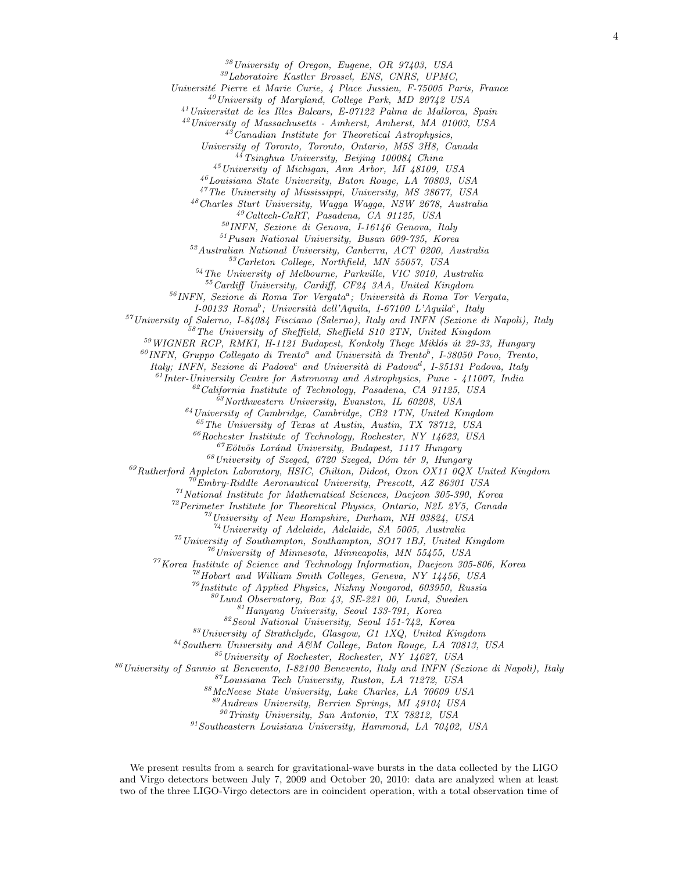<sup>38</sup>University of Oregon, Eugene, OR 97403, USA

<sup>39</sup>Laboratoire Kastler Brossel, ENS, CNRS, UPMC,

Université Pierre et Marie Curie, 4 Place Jussieu, F-75005 Paris, France

 $^{40}$ University of Maryland, College Park, MD 20742 USA

<sup>41</sup>Universitat de les Illes Balears, E-07122 Palma de Mallorca, Spain

<sup>42</sup>University of Massachusetts - Amherst, Amherst, MA 01003, USA

 $4^{3}$ Canadian Institute for Theoretical Astrophysics,

University of Toronto, Toronto, Ontario, M5S 3H8, Canada

 $4\sqrt[4]{4}$ Tsinghua University, Beijing 100084 China

<sup>45</sup>University of Michigan, Ann Arbor, MI 48109, USA

<sup>46</sup>Louisiana State University, Baton Rouge, LA 70803, USA

<sup>47</sup>The University of Mississippi, University, MS 38677, USA

 $48$ Charles Sturt University, Wagga Wagga, NSW 2678, Australia

<sup>49</sup>Caltech-CaRT, Pasadena, CA 91125, USA

 $50$  INFN, Sezione di Genova, I-16146 Genova, Italy

<sup>51</sup>Pusan National University, Busan 609-735, Korea

<sup>52</sup>Australian National University, Canberra, ACT 0200, Australia

<sup>53</sup>Carleton College, Northfield, MN 55057, USA

 $54$  The University of Melbourne, Parkville, VIC 3010, Australia

<sup>55</sup>Cardiff University, Cardiff, CF24 3AA, United Kingdom

 $^{56}$ INFN, Sezione di Roma Tor Vergata<sup>a</sup>; Università di Roma Tor Vergata,

I-00133 Roma<sup>b</sup>; Università dell'Aquila, I-67100 L'Aquila<sup>c</sup>, Italy

 $57$ University of Salerno, I-84084 Fisciano (Salerno), Italy and INFN (Sezione di Napoli), Italy

<sup>58</sup>The University of Sheffield, Sheffield S10 2TN, United Kingdom

 $59$  WIGNER RCP, RMKI, H-1121 Budapest, Konkoly Thege Miklós út 29-33, Hungary

 $^{60}$ INFN, Gruppo Collegato di Trento<sup>a</sup> and Università di Trento<sup>b</sup>, I-38050 Povo, Trento,

Italy; INFN, Sezione di Padova<sup>c</sup> and Università di Padova<sup>d</sup>, I-35131 Padova, Italy

 $61$ Inter-University Centre for Astronomy and Astrophysics, Pune - 411007, India  $62$ California Institute of Technology, Pasadena, CA 91125, USA

 $\frac{\delta^3}{\delta^3}$ Northwestern University, Evanston, IL 60208, USA

 $^{64}$ University of Cambridge, Cambridge, CB2 1TN, United Kingdom

<sup>65</sup>The University of Texas at Austin, Austin, TX 78712, USA

 $^{66}Rochester$  Institute of Technology, Rochester, NY 14623, USA

 $^{67}E\ddot{o}tv\ddot{o}s$  Loránd University, Budapest, 1117 Hungary

 $^{68}$ University of Szeged, 6720 Szeged, Dóm tér 9, Hungary

 $^{69}Rutherford$  Appleton Laboratory, HSIC, Chilton, Didcot, Oxon OX11 0QX United Kingdom

 $^{70}Embry-Riddle$  Aeronautical University, Prescott, AZ 86301 USA

 $71$ National Institute for Mathematical Sciences, Daejeon 305-390, Korea

<sup>72</sup> Perimeter Institute for Theoretical Physics, Ontario, N2L 2Y5, Canada

<sup>73</sup>University of New Hampshire, Durham, NH 03824, USA

 $^{74}$ University of Adelaide, Adelaide, SA 5005, Australia

 $^{75}$ University of Southampton, Southampton, SO17 1BJ, United Kingdom

 $^{76}$ University of Minnesota, Minneapolis, MN 55455, USA

 $77$ Korea Institute of Science and Technology Information, Daejeon 305-806, Korea

<sup>78</sup>Hobart and William Smith Colleges, Geneva, NY 14456, USA

 $^{79}$ Institute of Applied Physics, Nizhny Novgorod, 603950, Russia

 ${}^{80}Lund$  Observatory, Box 43, SE-221 00, Lund, Sweden

 $^{81}$ Hanyang University, Seoul 133-791, Korea

<sup>82</sup>Seoul National University, Seoul 151-742, Korea

 $83$ University of Strathclyde, Glasgow, G1 1XQ, United Kingdom

 $84$ Southern University and A&M College, Baton Rouge, LA 70813, USA

 $85$ University of Rochester, Rochester, NY 14627, USA

 $86$ University of Sannio at Benevento, I-82100 Benevento, Italy and INFN (Sezione di Napoli), Italy

<sup>87</sup>Louisiana Tech University, Ruston, LA 71272, USA

<sup>88</sup>McNeese State University, Lake Charles, LA 70609 USA

<sup>89</sup>Andrews University, Berrien Springs, MI 49104 USA

<sup>90</sup>Trinity University, San Antonio, TX 78212, USA

 $91$ Southeastern Louisiana University, Hammond, LA  $70402$ , USA

We present results from a search for gravitational-wave bursts in the data collected by the LIGO and Virgo detectors between July 7, 2009 and October 20, 2010: data are analyzed when at least two of the three LIGO-Virgo detectors are in coincident operation, with a total observation time of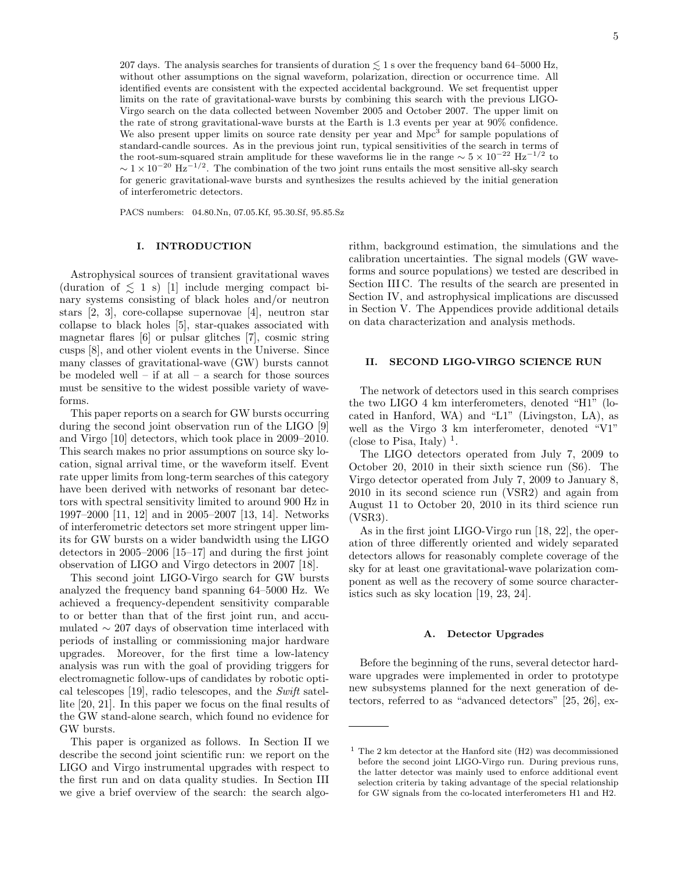207 days. The analysis searches for transients of duration  $\lesssim$  1 s over the frequency band 64–5000 Hz, without other assumptions on the signal waveform, polarization, direction or occurrence time. All identified events are consistent with the expected accidental background. We set frequentist upper limits on the rate of gravitational-wave bursts by combining this search with the previous LIGO-Virgo search on the data collected between November 2005 and October 2007. The upper limit on the rate of strong gravitational-wave bursts at the Earth is 1.3 events per year at 90% confidence. We also present upper limits on source rate density per year and Mpc<sup>3</sup> for sample populations of standard-candle sources. As in the previous joint run, typical sensitivities of the search in terms of the root-sum-squared strain amplitude for these waveforms lie in the range  $\sim 5 \times 10^{-22}$  Hz<sup>-1/2</sup> to  $\sim 1 \times 10^{-20}$  Hz<sup>-1/2</sup>. The combination of the two joint runs entails the most sensitive all-sky search for generic gravitational-wave bursts and synthesizes the results achieved by the initial generation of interferometric detectors.

PACS numbers: 04.80.Nn, 07.05.Kf, 95.30.Sf, 95.85.Sz

#### I. INTRODUCTION

Astrophysical sources of transient gravitational waves (duration of  $\leq 1$  s) [1] include merging compact binary systems consisting of black holes and/or neutron stars [2, 3], core-collapse supernovae [4], neutron star collapse to black holes [5], star-quakes associated with magnetar flares [6] or pulsar glitches [7], cosmic string cusps [8], and other violent events in the Universe. Since many classes of gravitational-wave (GW) bursts cannot be modeled well – if at all – a search for those sources must be sensitive to the widest possible variety of waveforms.

This paper reports on a search for GW bursts occurring during the second joint observation run of the LIGO [9] and Virgo [10] detectors, which took place in 2009–2010. This search makes no prior assumptions on source sky location, signal arrival time, or the waveform itself. Event rate upper limits from long-term searches of this category have been derived with networks of resonant bar detectors with spectral sensitivity limited to around 900 Hz in 1997–2000 [11, 12] and in 2005–2007 [13, 14]. Networks of interferometric detectors set more stringent upper limits for GW bursts on a wider bandwidth using the LIGO detectors in 2005–2006 [15–17] and during the first joint observation of LIGO and Virgo detectors in 2007 [18].

This second joint LIGO-Virgo search for GW bursts analyzed the frequency band spanning 64–5000 Hz. We achieved a frequency-dependent sensitivity comparable to or better than that of the first joint run, and accumulated ∼ 207 days of observation time interlaced with periods of installing or commissioning major hardware upgrades. Moreover, for the first time a low-latency analysis was run with the goal of providing triggers for electromagnetic follow-ups of candidates by robotic optical telescopes [19], radio telescopes, and the Swift satellite [20, 21]. In this paper we focus on the final results of the GW stand-alone search, which found no evidence for GW bursts.

This paper is organized as follows. In Section II we describe the second joint scientific run: we report on the LIGO and Virgo instrumental upgrades with respect to the first run and on data quality studies. In Section III we give a brief overview of the search: the search algo-

rithm, background estimation, the simulations and the calibration uncertainties. The signal models (GW waveforms and source populations) we tested are described in Section III C. The results of the search are presented in Section IV, and astrophysical implications are discussed in Section V. The Appendices provide additional details on data characterization and analysis methods.

#### II. SECOND LIGO-VIRGO SCIENCE RUN

The network of detectors used in this search comprises the two LIGO 4 km interferometers, denoted "H1" (located in Hanford, WA) and "L1" (Livingston, LA), as well as the Virgo 3 km interferometer, denoted "V1" (close to Pisa, Italy)  $<sup>1</sup>$ .</sup>

The LIGO detectors operated from July 7, 2009 to October 20, 2010 in their sixth science run (S6). The Virgo detector operated from July 7, 2009 to January 8, 2010 in its second science run (VSR2) and again from August 11 to October 20, 2010 in its third science run (VSR3).

As in the first joint LIGO-Virgo run [18, 22], the operation of three differently oriented and widely separated detectors allows for reasonably complete coverage of the sky for at least one gravitational-wave polarization component as well as the recovery of some source characteristics such as sky location [19, 23, 24].

#### A. Detector Upgrades

Before the beginning of the runs, several detector hardware upgrades were implemented in order to prototype new subsystems planned for the next generation of detectors, referred to as "advanced detectors" [25, 26], ex-

 $1$  The 2 km detector at the Hanford site (H2) was decommissioned before the second joint LIGO-Virgo run. During previous runs, the latter detector was mainly used to enforce additional event selection criteria by taking advantage of the special relationship for GW signals from the co-located interferometers H1 and H2.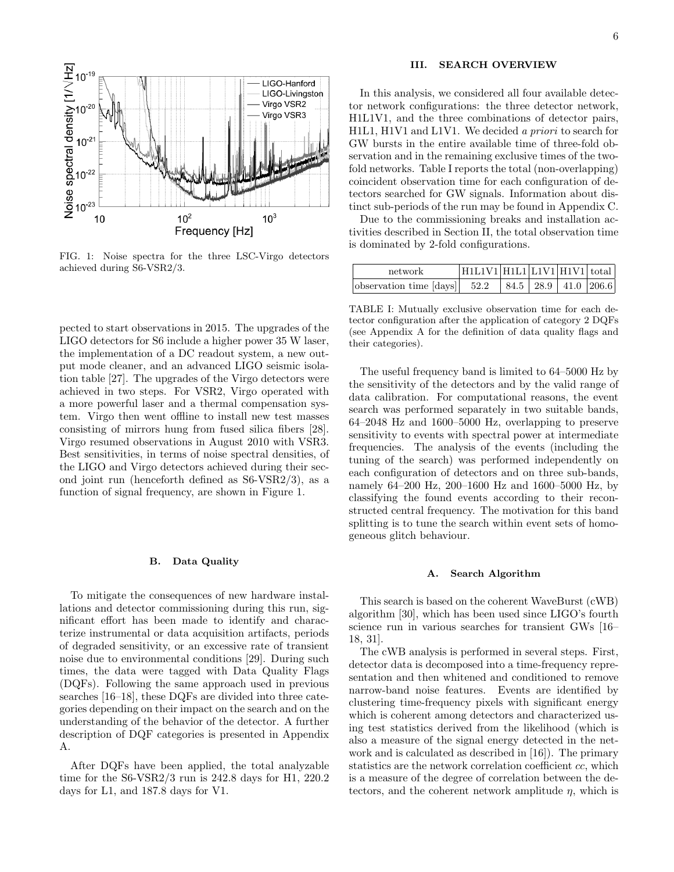

FIG. 1: Noise spectra for the three LSC-Virgo detectors achieved during S6-VSR2/3.

pected to start observations in 2015. The upgrades of the LIGO detectors for S6 include a higher power 35 W laser, the implementation of a DC readout system, a new output mode cleaner, and an advanced LIGO seismic isolation table [27]. The upgrades of the Virgo detectors were achieved in two steps. For VSR2, Virgo operated with a more powerful laser and a thermal compensation system. Virgo then went offline to install new test masses consisting of mirrors hung from fused silica fibers [28]. Virgo resumed observations in August 2010 with VSR3. Best sensitivities, in terms of noise spectral densities, of the LIGO and Virgo detectors achieved during their second joint run (henceforth defined as S6-VSR2/3), as a function of signal frequency, are shown in Figure 1.

#### B. Data Quality

To mitigate the consequences of new hardware installations and detector commissioning during this run, significant effort has been made to identify and characterize instrumental or data acquisition artifacts, periods of degraded sensitivity, or an excessive rate of transient noise due to environmental conditions [29]. During such times, the data were tagged with Data Quality Flags (DQFs). Following the same approach used in previous searches [16–18], these DQFs are divided into three categories depending on their impact on the search and on the understanding of the behavior of the detector. A further description of DQF categories is presented in Appendix A.

After DQFs have been applied, the total analyzable time for the S6-VSR2/3 run is 242.8 days for H1, 220.2 days for L1, and 187.8 days for V1.

#### III. SEARCH OVERVIEW

In this analysis, we considered all four available detector network configurations: the three detector network, H1L1V1, and the three combinations of detector pairs, H1L1, H1V1 and L1V1. We decided a priori to search for GW bursts in the entire available time of three-fold observation and in the remaining exclusive times of the twofold networks. Table I reports the total (non-overlapping) coincident observation time for each configuration of detectors searched for GW signals. Information about distinct sub-periods of the run may be found in Appendix C.

Due to the commissioning breaks and installation activities described in Section II, the total observation time is dominated by 2-fold configurations.

| network                                            | H1L1V1 H1L1 L1V1 H1V1 total |  |                      |  |
|----------------------------------------------------|-----------------------------|--|----------------------|--|
| $\vert$ observation time $\vert$ days $\vert$ 52.2 |                             |  | 84.5 28.9 41.0 206.6 |  |

TABLE I: Mutually exclusive observation time for each detector configuration after the application of category 2 DQFs (see Appendix A for the definition of data quality flags and their categories).

The useful frequency band is limited to 64–5000 Hz by the sensitivity of the detectors and by the valid range of data calibration. For computational reasons, the event search was performed separately in two suitable bands, 64–2048 Hz and 1600–5000 Hz, overlapping to preserve sensitivity to events with spectral power at intermediate frequencies. The analysis of the events (including the tuning of the search) was performed independently on each configuration of detectors and on three sub-bands, namely 64–200 Hz, 200–1600 Hz and 1600–5000 Hz, by classifying the found events according to their reconstructed central frequency. The motivation for this band splitting is to tune the search within event sets of homogeneous glitch behaviour.

#### A. Search Algorithm

This search is based on the coherent WaveBurst (cWB) algorithm [30], which has been used since LIGO's fourth science run in various searches for transient GWs [16– 18, 31].

The cWB analysis is performed in several steps. First, detector data is decomposed into a time-frequency representation and then whitened and conditioned to remove narrow-band noise features. Events are identified by clustering time-frequency pixels with significant energy which is coherent among detectors and characterized using test statistics derived from the likelihood (which is also a measure of the signal energy detected in the network and is calculated as described in [16]). The primary statistics are the network correlation coefficient cc, which is a measure of the degree of correlation between the detectors, and the coherent network amplitude  $\eta$ , which is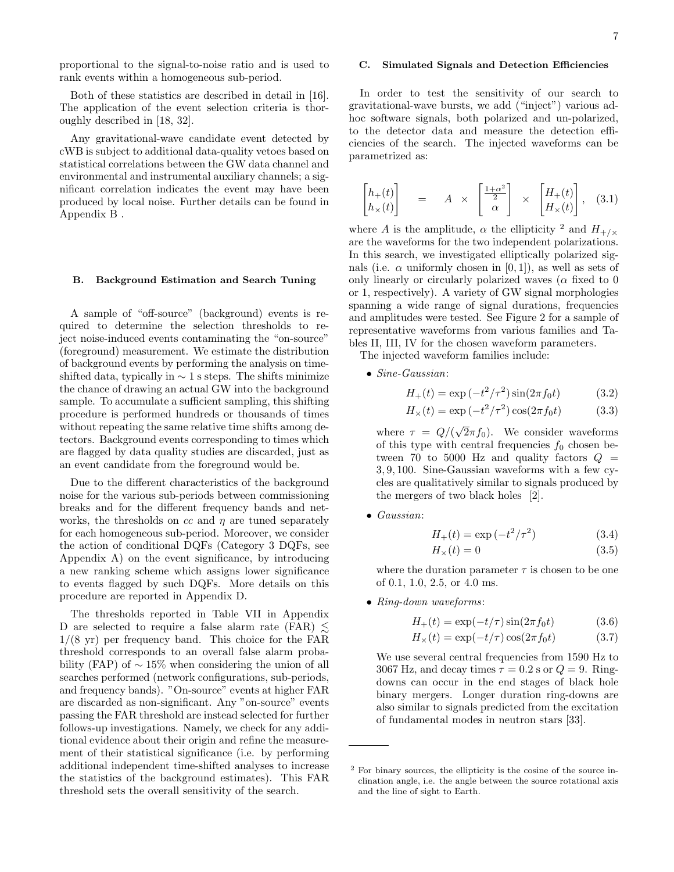proportional to the signal-to-noise ratio and is used to rank events within a homogeneous sub-period.

Both of these statistics are described in detail in [16]. The application of the event selection criteria is thoroughly described in [18, 32].

Any gravitational-wave candidate event detected by cWB is subject to additional data-quality vetoes based on statistical correlations between the GW data channel and environmental and instrumental auxiliary channels; a significant correlation indicates the event may have been produced by local noise. Further details can be found in Appendix B .

#### B. Background Estimation and Search Tuning

A sample of "off-source" (background) events is required to determine the selection thresholds to reject noise-induced events contaminating the "on-source" (foreground) measurement. We estimate the distribution of background events by performing the analysis on timeshifted data, typically in  $\sim$  1 s steps. The shifts minimize the chance of drawing an actual GW into the background sample. To accumulate a sufficient sampling, this shifting procedure is performed hundreds or thousands of times without repeating the same relative time shifts among detectors. Background events corresponding to times which are flagged by data quality studies are discarded, just as an event candidate from the foreground would be.

Due to the different characteristics of the background noise for the various sub-periods between commissioning breaks and for the different frequency bands and networks, the thresholds on  $cc$  and  $\eta$  are tuned separately for each homogeneous sub-period. Moreover, we consider the action of conditional DQFs (Category 3 DQFs, see Appendix A) on the event significance, by introducing a new ranking scheme which assigns lower significance to events flagged by such DQFs. More details on this procedure are reported in Appendix D.

The thresholds reported in Table VII in Appendix D are selected to require a false alarm rate (FAR)  $\leq$  $1/(8 \text{ yr})$  per frequency band. This choice for the FAR threshold corresponds to an overall false alarm probability (FAP) of  $\sim 15\%$  when considering the union of all searches performed (network configurations, sub-periods, and frequency bands). "On-source" events at higher FAR are discarded as non-significant. Any "on-source" events passing the FAR threshold are instead selected for further follows-up investigations. Namely, we check for any additional evidence about their origin and refine the measurement of their statistical significance (i.e. by performing additional independent time-shifted analyses to increase the statistics of the background estimates). This FAR threshold sets the overall sensitivity of the search.

#### C. Simulated Signals and Detection Efficiencies

In order to test the sensitivity of our search to gravitational-wave bursts, we add ("inject") various adhoc software signals, both polarized and un-polarized, to the detector data and measure the detection efficiencies of the search. The injected waveforms can be parametrized as:

$$
\begin{bmatrix} h_+(t) \\ h_\times(t) \end{bmatrix} = A \times \begin{bmatrix} \frac{1+\alpha^2}{2} \\ \alpha \end{bmatrix} \times \begin{bmatrix} H_+(t) \\ H_\times(t) \end{bmatrix}, \quad (3.1)
$$

where A is the amplitude,  $\alpha$  the ellipticity <sup>2</sup> and  $H_{+/x}$ are the waveforms for the two independent polarizations. In this search, we investigated elliptically polarized signals (i.e.  $\alpha$  uniformly chosen in [0, 1]), as well as sets of only linearly or circularly polarized waves ( $\alpha$  fixed to 0 or 1, respectively). A variety of GW signal morphologies spanning a wide range of signal durations, frequencies and amplitudes were tested. See Figure 2 for a sample of representative waveforms from various families and Tables II, III, IV for the chosen waveform parameters.

The injected waveform families include:

• Sine-Gaussian:

$$
H_{+}(t) = \exp(-t^{2}/\tau^{2})\sin(2\pi f_{0}t)
$$
 (3.2)

$$
H_{\times}(t) = \exp(-t^2/\tau^2)\cos(2\pi f_0 t)
$$
 (3.3)

where  $\tau = Q/($ √  $(2\pi f_0)$ . We consider waveforms of this type with central frequencies  $f_0$  chosen between 70 to 5000 Hz and quality factors  $Q =$ 3, 9, 100. Sine-Gaussian waveforms with a few cycles are qualitatively similar to signals produced by the mergers of two black holes [2].

• Gaussian:

$$
H_{+}(t) = \exp(-t^{2}/\tau^{2})
$$
 (3.4)

$$
H_{\times}(t) = 0 \tag{3.5}
$$

where the duration parameter  $\tau$  is chosen to be one of 0.1, 1.0, 2.5, or 4.0 ms.

• Ring-down waveforms:

$$
H_{+}(t) = \exp(-t/\tau)\sin(2\pi f_0 t)
$$
 (3.6)

$$
H_{\times}(t) = \exp(-t/\tau)\cos(2\pi f_0 t) \tag{3.7}
$$

We use several central frequencies from 1590 Hz to 3067 Hz, and decay times  $\tau = 0.2$  s or  $Q = 9$ . Ringdowns can occur in the end stages of black hole binary mergers. Longer duration ring-downs are also similar to signals predicted from the excitation of fundamental modes in neutron stars [33].

<sup>2</sup> For binary sources, the ellipticity is the cosine of the source inclination angle, i.e. the angle between the source rotational axis and the line of sight to Earth.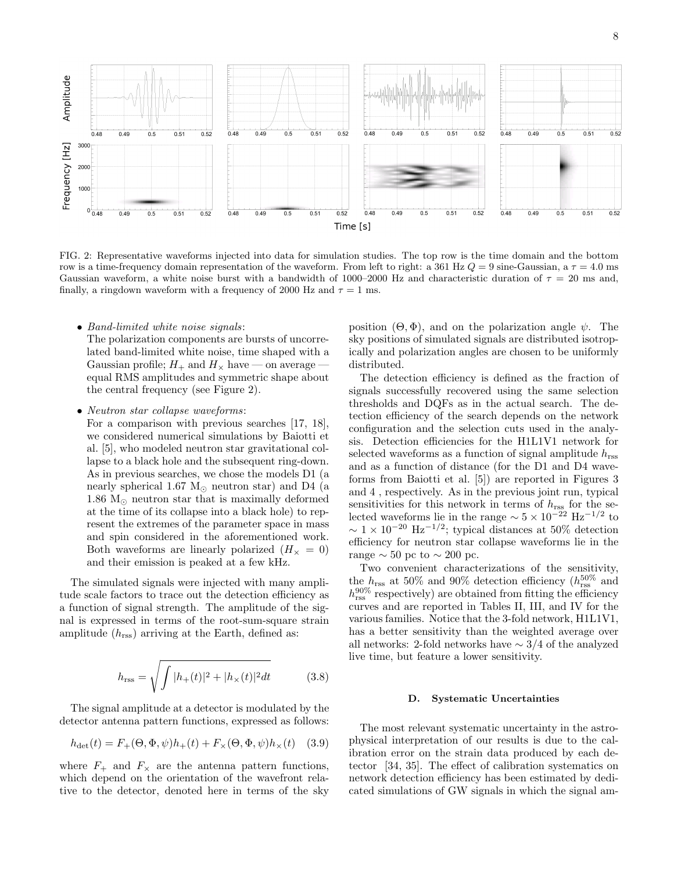

FIG. 2: Representative waveforms injected into data for simulation studies. The top row is the time domain and the bottom row is a time-frequency domain representation of the waveform. From left to right: a 361 Hz  $Q = 9$  sine-Gaussian, a  $\tau = 4.0$  ms Gaussian waveform, a white noise burst with a bandwidth of 1000–2000 Hz and characteristic duration of  $\tau = 20$  ms and, finally, a ringdown waveform with a frequency of 2000 Hz and  $\tau = 1$  ms.

• Band-limited white noise signals:

The polarization components are bursts of uncorrelated band-limited white noise, time shaped with a Gaussian profile;  $H_+$  and  $H_{\times}$  have — on average equal RMS amplitudes and symmetric shape about the central frequency (see Figure 2).

• Neutron star collapse waveforms:

For a comparison with previous searches [17, 18], we considered numerical simulations by Baiotti et al. [5], who modeled neutron star gravitational collapse to a black hole and the subsequent ring-down. As in previous searches, we chose the models D1 (a nearly spherical 1.67  $M_{\odot}$  neutron star) and D4 (a 1.86  $M_{\odot}$  neutron star that is maximally deformed at the time of its collapse into a black hole) to represent the extremes of the parameter space in mass and spin considered in the aforementioned work. Both waveforms are linearly polarized  $(H_{\times} = 0)$ and their emission is peaked at a few kHz.

The simulated signals were injected with many amplitude scale factors to trace out the detection efficiency as a function of signal strength. The amplitude of the signal is expressed in terms of the root-sum-square strain amplitude  $(h_{\text{rss}})$  arriving at the Earth, defined as:

$$
h_{\rm rss} = \sqrt{\int |h_+(t)|^2 + |h_\times(t)|^2 dt} \tag{3.8}
$$

The signal amplitude at a detector is modulated by the detector antenna pattern functions, expressed as follows:

$$
h_{\text{det}}(t) = F_{+}(\Theta, \Phi, \psi)h_{+}(t) + F_{\times}(\Theta, \Phi, \psi)h_{\times}(t) \quad (3.9)
$$

where  $F_+$  and  $F_\times$  are the antenna pattern functions, which depend on the orientation of the wavefront relative to the detector, denoted here in terms of the sky

position  $(\Theta, \Phi)$ , and on the polarization angle  $\psi$ . The sky positions of simulated signals are distributed isotropically and polarization angles are chosen to be uniformly distributed.

The detection efficiency is defined as the fraction of signals successfully recovered using the same selection thresholds and DQFs as in the actual search. The detection efficiency of the search depends on the network configuration and the selection cuts used in the analysis. Detection efficiencies for the H1L1V1 network for selected waveforms as a function of signal amplitude  $h_{\text{rss}}$ and as a function of distance (for the D1 and D4 waveforms from Baiotti et al. [5]) are reported in Figures 3 and 4 , respectively. As in the previous joint run, typical sensitivities for this network in terms of  $h_{\text{rss}}$  for the selected waveforms lie in the range  $\sim 5 \times 10^{-22}$  Hz<sup>-1/2</sup> to  $\sim 1 \times 10^{-20}$  Hz<sup>-1/2</sup>; typical distances at 50% detection efficiency for neutron star collapse waveforms lie in the range  $\sim$  50 pc to  $\sim$  200 pc.

Two convenient characterizations of the sensitivity, the  $h_{\text{rss}}$  at 50% and 90% detection efficiency ( $h_{\text{rss}}^{50\%}$  and  $h_{\rm rss}^{90\%}$  respectively) are obtained from fitting the efficiency curves and are reported in Tables II, III, and IV for the various families. Notice that the 3-fold network, H1L1V1, has a better sensitivity than the weighted average over all networks: 2-fold networks have ∼ 3/4 of the analyzed live time, but feature a lower sensitivity.

#### D. Systematic Uncertainties

The most relevant systematic uncertainty in the astrophysical interpretation of our results is due to the calibration error on the strain data produced by each detector [34, 35]. The effect of calibration systematics on network detection efficiency has been estimated by dedicated simulations of GW signals in which the signal am-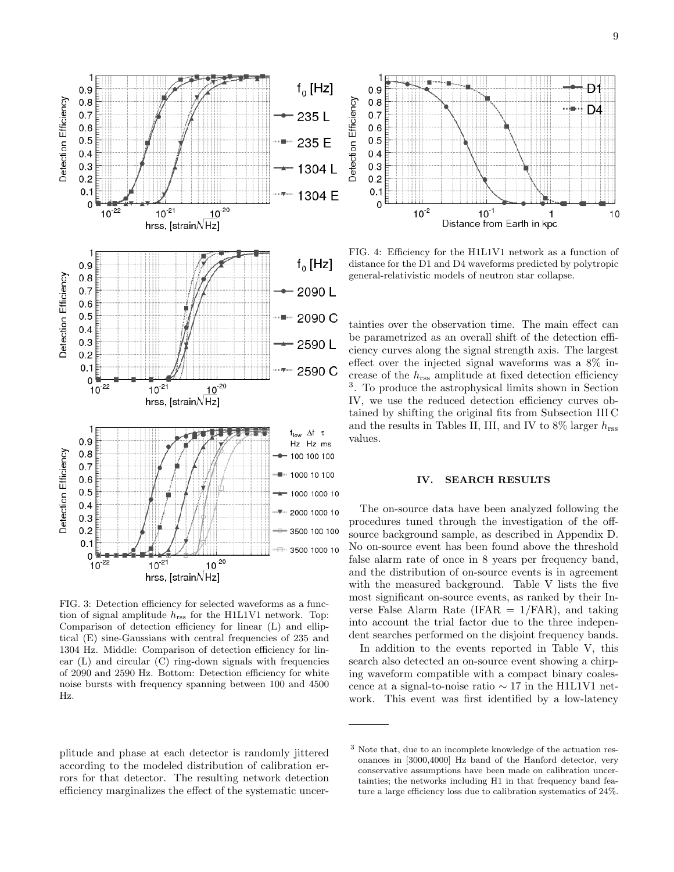

FIG. 3: Detection efficiency for selected waveforms as a function of signal amplitude  $h_{\text{rss}}$  for the H1L1V1 network. Top: Comparison of detection efficiency for linear (L) and elliptical (E) sine-Gaussians with central frequencies of 235 and 1304 Hz. Middle: Comparison of detection efficiency for linear  $(L)$  and circular  $(C)$  ring-down signals with frequencies of 2090 and 2590 Hz. Bottom: Detection efficiency for white noise bursts with frequency spanning between 100 and 4500 Hz.

plitude and phase at each detector is randomly jittered according to the modeled distribution of calibration errors for that detector. The resulting network detection efficiency marginalizes the effect of the systematic uncer-



FIG. 4: Efficiency for the H1L1V1 network as a function of distance for the D1 and D4 waveforms predicted by polytropic general-relativistic models of neutron star collapse.

tainties over the observation time. The main effect can be parametrized as an overall shift of the detection efficiency curves along the signal strength axis. The largest effect over the injected signal waveforms was a 8% increase of the  $h_{\text{rss}}$  amplitude at fixed detection efficiency 3 . To produce the astrophysical limits shown in Section IV, we use the reduced detection efficiency curves obtained by shifting the original fits from Subsection III C and the results in Tables II, III, and IV to  $8\%$  larger  $h_{\text{rss}}$ values.

#### IV. SEARCH RESULTS

The on-source data have been analyzed following the procedures tuned through the investigation of the offsource background sample, as described in Appendix D. No on-source event has been found above the threshold false alarm rate of once in 8 years per frequency band, and the distribution of on-source events is in agreement with the measured background. Table V lists the five most significant on-source events, as ranked by their Inverse False Alarm Rate (IFAR  $= 1$ /FAR), and taking into account the trial factor due to the three independent searches performed on the disjoint frequency bands.

In addition to the events reported in Table V, this search also detected an on-source event showing a chirping waveform compatible with a compact binary coalescence at a signal-to-noise ratio ∼ 17 in the H1L1V1 network. This event was first identified by a low-latency

<sup>3</sup> Note that, due to an incomplete knowledge of the actuation resonances in [3000,4000] Hz band of the Hanford detector, very conservative assumptions have been made on calibration uncertainties; the networks including H1 in that frequency band feature a large efficiency loss due to calibration systematics of 24%.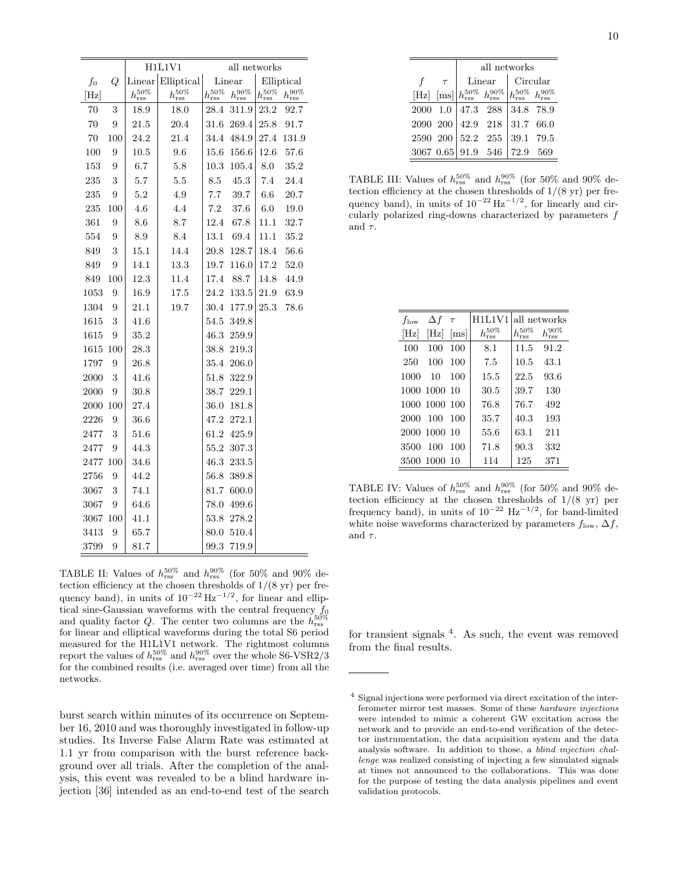|         |     |                      | H1L1V1               |                      | all networks         |                      |                      |  |  |
|---------|-----|----------------------|----------------------|----------------------|----------------------|----------------------|----------------------|--|--|
| $f_{0}$ | Q   | Linear               | Elliptical           |                      | Linear               |                      | Elliptical           |  |  |
| [Hz]    |     | $h_{\rm rss}^{50\%}$ | $h_{\rm rss}^{50\%}$ | $h_{\rm rss}^{50\%}$ | $h_{\rm rss}^{90\%}$ | $h_{\rm rss}^{50\%}$ | $h_{\rm rss}^{90\%}$ |  |  |
| 70      | 3   | $^{18.9}$            | 18.0                 | 28.4                 | 311.9                | 23.2                 | 92.7                 |  |  |
| 70      | 9   | 21.5                 | 20.4                 | $31.6\,$             | 269.4                | $25.8\,$             | 91.7                 |  |  |
| 70      | 100 | 24.2                 | 21.4                 | 34.4                 | 484.9                | 27.4                 | 131.9                |  |  |
| 100     | 9   | 10.5                 | 9.6                  | $^{15.6}$            | 156.6                | 12.6                 | 57.6                 |  |  |
| 153     | 9   | 6.7                  | 5.8                  | 10.3                 | 105.4                | 8.0                  | 35.2                 |  |  |
| 235     | 3   | 5.7                  | $5.5\,$              | 8.5                  | 45.3                 | 7.4                  | 24.4                 |  |  |
| 235     | 9   | 5.2                  | 4.9                  | 7.7                  | 39.7                 | 6.6                  | 20.7                 |  |  |
| 235     | 100 | 4.6                  | 4.4                  | 7.2                  | 37.6                 | $6.0\,$              | 19.0                 |  |  |
| 361     | 9   | 8.6                  | 8.7                  | 12.4                 | 67.8                 | 11.1                 | 32.7                 |  |  |
| 554     | 9   | 8.9                  | 8.4                  | 13.1                 | 69.4                 | 11.1                 | 35.2                 |  |  |
| 849     | 3   | $^{15.1}$            | 14.4                 | $20.8\,$             | 128.7                | 18.4                 | 56.6                 |  |  |
| 849     | 9   | 14.1                 | 13.3                 | 19.7                 | 116.0                | 17.2                 | 52.0                 |  |  |
| 849     | 100 | 12.3                 | 11.4                 | 17.4                 | 88.7                 | 14.8                 | 44.9                 |  |  |
| 1053    | 9   | 16.9                 | 17.5                 | 24.2                 | $133.5\,$            | 21.9                 | 63.9                 |  |  |
| 1304    | 9   | 21.1                 | 19.7                 | 30.4                 | 177.9                | 25.3                 | 78.6                 |  |  |
| 1615    | 3   | 41.6                 |                      | 54.5                 | 349.8                |                      |                      |  |  |
| 1615    | 9   | 35.2                 |                      | 46.3                 | 259.9                |                      |                      |  |  |
| 1615    | 100 | 28.3                 |                      | 38.8                 | 219.3                |                      |                      |  |  |
| 1797    | 9   | 26.8                 |                      | $35.4\,$             | 206.0                |                      |                      |  |  |
| 2000    | 3   | 41.6                 |                      | 51.8                 | 322.9                |                      |                      |  |  |
| 2000    | 9   | $30.8\,$             |                      | 38.7                 | 229.1                |                      |                      |  |  |
| 2000    | 100 | 27.4                 |                      | 36.0                 | 181.8                |                      |                      |  |  |
| 2226    | 9   | $36.6\,$             |                      | 47.2                 | $272.1\,$            |                      |                      |  |  |
| 2477    | 3   | 51.6                 |                      | 61.2                 | 425.9                |                      |                      |  |  |
| 2477    | 9   | 44.3                 |                      | $55.2\,$             | 307.3                |                      |                      |  |  |
| 2477    | 100 | 34.6                 |                      | 46.3                 | 233.5                |                      |                      |  |  |
| 2756    | 9   | 44.2                 |                      | 56.8                 | 389.8                |                      |                      |  |  |
| 3067    | 3   | 74.1                 |                      | 81.7                 | 600.0                |                      |                      |  |  |
| 3067    | 9   | 64.6                 |                      | 78.0                 | 499.6                |                      |                      |  |  |
| 3067    | 100 | 41.1                 |                      | 53.8                 | 278.2                |                      |                      |  |  |
| 3413    | 9   | 65.7                 |                      | 80.0                 | 510.4                |                      |                      |  |  |
| 3799    | 9   | 81.7                 |                      | 99.3                 | 719.9                |                      |                      |  |  |

TABLE II: Values of  $h_{\text{rss}}^{50\%}$  and  $h_{\text{rss}}^{90\%}$  (for 50% and 90% detection efficiency at the chosen thresholds of  $1/(8 \text{ yr})$  per frequency band), in units of  $10^{-22}$   $\text{Hz}^{-1/2}$ , for linear and elliptical sine-Gaussian waveforms with the central frequency  $f_0$ and quality factor Q. The center two columns are the  $h_{\text{rss}}^{50\%}$ for linear and elliptical waveforms during the total S6 period measured for the H1L1V1 network. The rightmost columns report the values of  $h_{\rm rss}^{50\%}$  and  $h_{\rm rss}^{90\%}$  over the whole S6-VSR2/3 for the combined results (i.e. averaged over time) from all the networks.

burst search within minutes of its occurrence on September 16, 2010 and was thoroughly investigated in follow-up studies. Its Inverse False Alarm Rate was estimated at 1.1 yr from comparison with the burst reference background over all trials. After the completion of the analysis, this event was revealed to be a blind hardware injection [36] intended as an end-to-end test of the search

|          |               | all networks      |                                                                                |           |           |  |  |  |
|----------|---------------|-------------------|--------------------------------------------------------------------------------|-----------|-----------|--|--|--|
|          | $\tau$        |                   | Linear                                                                         | Circular  |           |  |  |  |
|          | $[Hz]$ $[ms]$ |                   | $ h_{\rm rss}^{50\%} h_{\rm rss}^{90\%} h_{\rm rss}^{50\%} h_{\rm rss}^{90\%}$ |           |           |  |  |  |
|          |               | 2000 1.0 47.3 288 |                                                                                | 34.8 78.9 |           |  |  |  |
| 2090 200 |               |                   | 42.9 218 31.7 66.0                                                             |           |           |  |  |  |
|          |               | 2590 200 52.2 255 |                                                                                |           | 39.1 79.5 |  |  |  |
|          |               |                   | 3067 0.65 91.9 546                                                             | 72.9 569  |           |  |  |  |

TABLE III: Values of  $h_{\text{rss}}^{50\%}$  and  $h_{\text{rss}}^{90\%}$  (for 50% and 90% detection efficiency at the chosen thresholds of  $1/(8 \text{ yr})$  per frequency band), in units of  $10^{-22}$   $\text{Hz}^{-1/2}$ , for linearly and circularly polarized ring-downs characterized by parameters f and  $\tau$ .

| $f_{\text{low}}$ | $\Delta f$    | $\tau$             | H1L1V1               |                      | all networks     |
|------------------|---------------|--------------------|----------------------|----------------------|------------------|
| $ \mathrm{Hz} $  | $ {\rm Hz} $  | $\vert$ ms $\vert$ | $h_{\rm rss}^{50\%}$ | $h_{\rm rss}^{50\%}$ | $h_{res}^{90\%}$ |
| 100              | 100           | 100                | 8.1                  | 11.5                 | 91.2             |
| 250              | 100           | 100                | 7.5                  | 10.5                 | 43.1             |
| 1000             | 10            | 100                | 15.5                 | 22.5                 | 93.6             |
|                  | 1000 1000 10  |                    | 30.5                 | 39.7                 | 130              |
|                  | 1000 1000 100 |                    | 76.8                 | 76.7                 | 492              |
| 2000             | 100           | 100                | 35.7                 | 40.3                 | 193              |
|                  | 2000 1000 10  |                    | 55.6                 | 63.1                 | 211              |
| 3500             | 100           | 100                | 71.8                 | 90.3                 | 332              |
|                  | 3500 1000 10  |                    | 114                  | 125                  | 371              |

TABLE IV: Values of  $h_{\text{rss}}^{50\%}$  and  $h_{\text{rss}}^{90\%}$  (for 50% and 90% detection efficiency at the chosen thresholds of 1/(8 yr) per frequency band), in units of  $10^{-22}$   $\text{Hz}^{-1/2}$ , for band-limited white noise waveforms characterized by parameters  $f_{\text{low}}, \Delta f$ , and  $\tau$ .

for transient signals <sup>4</sup>. As such, the event was removed from the final results.

<sup>4</sup> Signal injections were performed via direct excitation of the interferometer mirror test masses. Some of these hardware injections were intended to mimic a coherent GW excitation across the network and to provide an end-to-end verification of the detector instrumentation, the data acquisition system and the data analysis software. In addition to those, a blind injection challenge was realized consisting of injecting a few simulated signals at times not announced to the collaborations. This was done for the purpose of testing the data analysis pipelines and event validation protocols.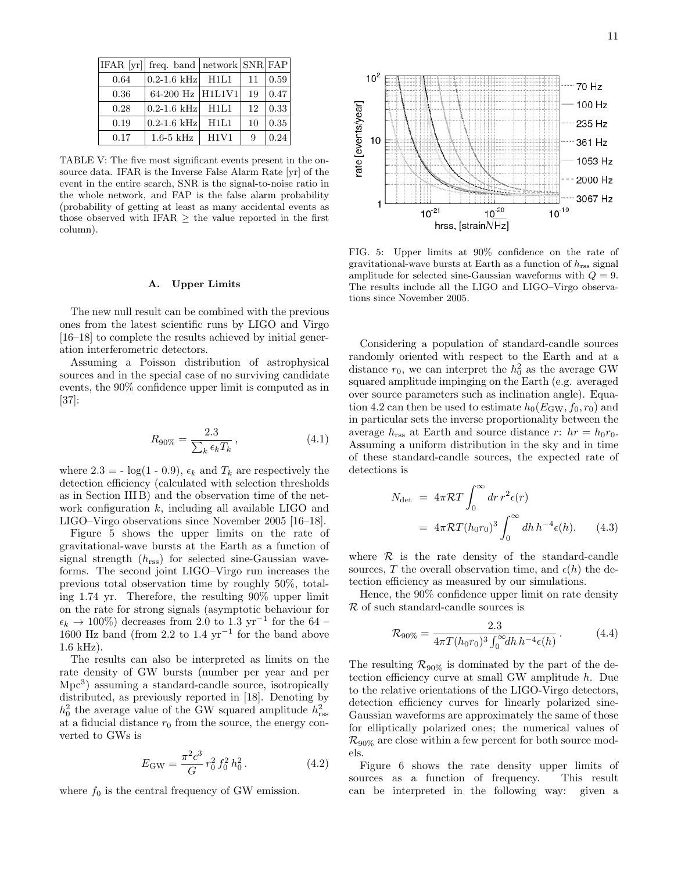11

|      | IFAR [yr] freq. band   network SNR FAP |      |    |      |
|------|----------------------------------------|------|----|------|
| 0.64 | $0.2 - 1.6$ kHz                        | H1L1 | 11 | 0.59 |
| 0.36 | 64-200 Hz   H1L1V1                     |      | 19 | 0.47 |
| 0.28 | $ 0.2 - 1.6$ kHz                       | H1L1 | 12 | 0.33 |
| 0.19 | $0.2 - 1.6$ kHz                        | H1L1 | 10 | 0.35 |
| 0.17 | $1.6-5$ kHz                            | H1V1 | 9  | 0.24 |

TABLE V: The five most significant events present in the onsource data. IFAR is the Inverse False Alarm Rate [yr] of the event in the entire search, SNR is the signal-to-noise ratio in the whole network, and FAP is the false alarm probability (probability of getting at least as many accidental events as those observed with IFAR  $\geq$  the value reported in the first column).

#### A. Upper Limits

The new null result can be combined with the previous ones from the latest scientific runs by LIGO and Virgo [16–18] to complete the results achieved by initial generation interferometric detectors.

Assuming a Poisson distribution of astrophysical sources and in the special case of no surviving candidate events, the 90% confidence upper limit is computed as in [37]:

$$
R_{90\%} = \frac{2.3}{\sum_{k} \epsilon_k T_k},\tag{4.1}
$$

where  $2.3 = -\log(1 - 0.9)$ ,  $\epsilon_k$  and  $T_k$  are respectively the detection efficiency (calculated with selection thresholds as in Section III B) and the observation time of the network configuration  $k$ , including all available LIGO and LIGO–Virgo observations since November 2005 [16–18].

Figure 5 shows the upper limits on the rate of gravitational-wave bursts at the Earth as a function of signal strength  $(h_{\text{rss}})$  for selected sine-Gaussian waveforms. The second joint LIGO–Virgo run increases the previous total observation time by roughly 50%, totaling 1.74 yr. Therefore, the resulting 90% upper limit on the rate for strong signals (asymptotic behaviour for  $\epsilon_k \to 100\%$ ) decreases from 2.0 to 1.3 yr<sup>-1</sup> for the 64 – 1600 Hz band (from 2.2 to 1.4  $yr^{-1}$  for the band above 1.6 kHz).

The results can also be interpreted as limits on the rate density of GW bursts (number per year and per Mpc<sup>3</sup>) assuming a standard-candle source, isotropically distributed, as previously reported in [18]. Denoting by  $h_0^2$  the average value of the GW squared amplitude  $h_{\text{rss}}^2$ at a fiducial distance  $r_0$  from the source, the energy converted to GWs is

$$
E_{\rm GW} = \frac{\pi^2 c^3}{G} r_0^2 f_0^2 h_0^2.
$$
 (4.2)

where  $f_0$  is the central frequency of GW emission.



FIG. 5: Upper limits at 90% confidence on the rate of gravitational-wave bursts at Earth as a function of  $h_{\text{rss}}$  signal amplitude for selected sine-Gaussian waveforms with  $Q = 9$ . The results include all the LIGO and LIGO–Virgo observations since November 2005.

Considering a population of standard-candle sources randomly oriented with respect to the Earth and at a distance  $r_0$ , we can interpret the  $h_0^2$  as the average GW squared amplitude impinging on the Earth (e.g. averaged over source parameters such as inclination angle). Equation 4.2 can then be used to estimate  $h_0(E_{\rm GW}, f_0, r_0)$  and in particular sets the inverse proportionality between the average  $h_{\text{rss}}$  at Earth and source distance r:  $hr = h_0r_0$ . Assuming a uniform distribution in the sky and in time of these standard-candle sources, the expected rate of detections is

$$
N_{\text{det}} = 4\pi \mathcal{R}T \int_0^\infty dr \, r^2 \epsilon(r)
$$
  
=  $4\pi \mathcal{R}T (h_0 r_0)^3 \int_0^\infty dh \, h^{-4} \epsilon(h).$  (4.3)

where  $R$  is the rate density of the standard-candle sources, T the overall observation time, and  $\epsilon(h)$  the detection efficiency as measured by our simulations.

Hence, the 90% confidence upper limit on rate density R of such standard-candle sources is

$$
\mathcal{R}_{90\%} = \frac{2.3}{4\pi T (h_0 r_0)^3 \int_0^\infty dh \, h^{-4} \epsilon(h)} \,. \tag{4.4}
$$

The resulting  $\mathcal{R}_{90\%}$  is dominated by the part of the detection efficiency curve at small GW amplitude h. Due to the relative orientations of the LIGO-Virgo detectors, detection efficiency curves for linearly polarized sine-Gaussian waveforms are approximately the same of those for elliptically polarized ones; the numerical values of  $\mathcal{R}_{90\%}$  are close within a few percent for both source models.

Figure 6 shows the rate density upper limits of sources as a function of frequency. This result can be interpreted in the following way: given a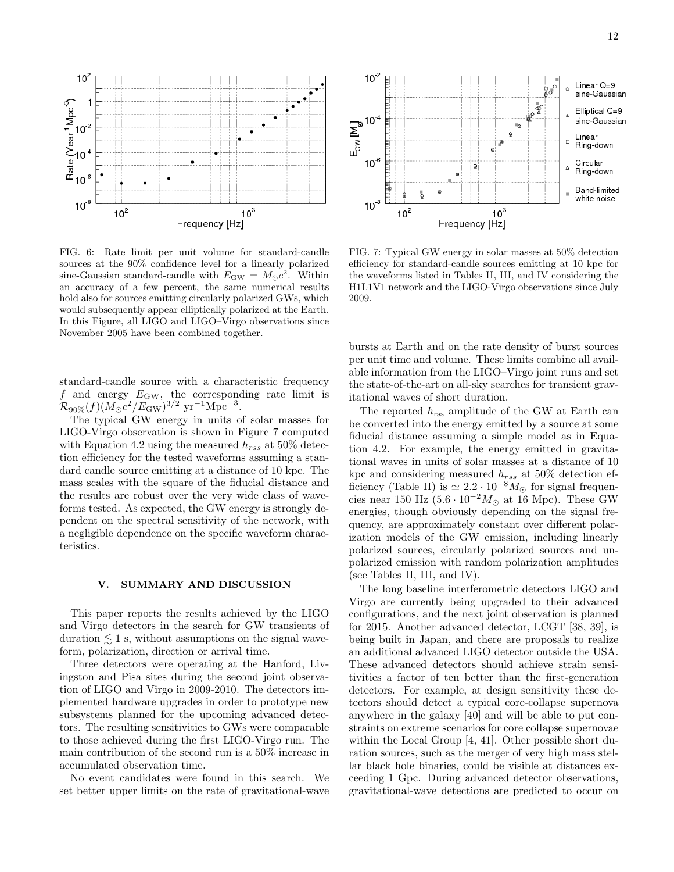

FIG. 6: Rate limit per unit volume for standard-candle sources at the 90% confidence level for a linearly polarized sine-Gaussian standard-candle with  $E_{\text{GW}} = M_{\odot}c^2$ . Within an accuracy of a few percent, the same numerical results hold also for sources emitting circularly polarized GWs, which would subsequently appear elliptically polarized at the Earth. In this Figure, all LIGO and LIGO–Virgo observations since November 2005 have been combined together.

standard-candle source with a characteristic frequency f and energy  $E_{\text{GW}}$ , the corresponding rate limit is  $\mathcal{R}_{90\%}(f) (M_\odot c^2/E_{\rm GW})^{3/2} \,\,{\rm yr^{-1} Mpc^{-3}}.$ 

The typical GW energy in units of solar masses for LIGO-Virgo observation is shown in Figure 7 computed with Equation 4.2 using the measured  $h_{rss}$  at 50% detection efficiency for the tested waveforms assuming a standard candle source emitting at a distance of 10 kpc. The mass scales with the square of the fiducial distance and the results are robust over the very wide class of waveforms tested. As expected, the GW energy is strongly dependent on the spectral sensitivity of the network, with a negligible dependence on the specific waveform characteristics.

#### V. SUMMARY AND DISCUSSION

This paper reports the results achieved by the LIGO and Virgo detectors in the search for GW transients of duration  $\leq 1$  s, without assumptions on the signal waveform, polarization, direction or arrival time.

Three detectors were operating at the Hanford, Livingston and Pisa sites during the second joint observation of LIGO and Virgo in 2009-2010. The detectors implemented hardware upgrades in order to prototype new subsystems planned for the upcoming advanced detectors. The resulting sensitivities to GWs were comparable to those achieved during the first LIGO-Virgo run. The main contribution of the second run is a 50% increase in accumulated observation time.

No event candidates were found in this search. We set better upper limits on the rate of gravitational-wave



FIG. 7: Typical GW energy in solar masses at 50% detection efficiency for standard-candle sources emitting at 10 kpc for the waveforms listed in Tables II, III, and IV considering the H1L1V1 network and the LIGO-Virgo observations since July 2009.

bursts at Earth and on the rate density of burst sources per unit time and volume. These limits combine all available information from the LIGO–Virgo joint runs and set the state-of-the-art on all-sky searches for transient gravitational waves of short duration.

The reported  $h_{\text{rss}}$  amplitude of the GW at Earth can be converted into the energy emitted by a source at some fiducial distance assuming a simple model as in Equation 4.2. For example, the energy emitted in gravitational waves in units of solar masses at a distance of 10 kpc and considering measured  $h_{rss}$  at 50% detection efficiency (Table II) is  $\simeq 2.2 \cdot 10^{-8} M_{\odot}$  for signal frequencies near 150 Hz ( $5.6 \cdot 10^{-2} M_{\odot}$  at 16 Mpc). These GW energies, though obviously depending on the signal frequency, are approximately constant over different polarization models of the GW emission, including linearly polarized sources, circularly polarized sources and unpolarized emission with random polarization amplitudes (see Tables II, III, and IV).

The long baseline interferometric detectors LIGO and Virgo are currently being upgraded to their advanced configurations, and the next joint observation is planned for 2015. Another advanced detector, LCGT [38, 39], is being built in Japan, and there are proposals to realize an additional advanced LIGO detector outside the USA. These advanced detectors should achieve strain sensitivities a factor of ten better than the first-generation detectors. For example, at design sensitivity these detectors should detect a typical core-collapse supernova anywhere in the galaxy [40] and will be able to put constraints on extreme scenarios for core collapse supernovae within the Local Group [4, 41]. Other possible short duration sources, such as the merger of very high mass stellar black hole binaries, could be visible at distances exceeding 1 Gpc. During advanced detector observations, gravitational-wave detections are predicted to occur on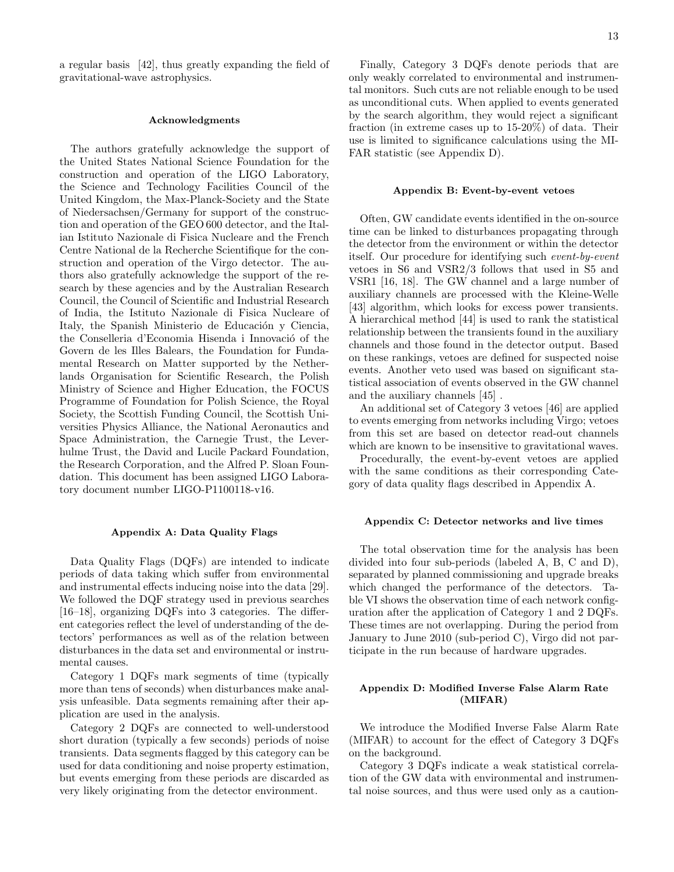a regular basis [42], thus greatly expanding the field of gravitational-wave astrophysics.

#### Acknowledgments

The authors gratefully acknowledge the support of the United States National Science Foundation for the construction and operation of the LIGO Laboratory, the Science and Technology Facilities Council of the United Kingdom, the Max-Planck-Society and the State of Niedersachsen/Germany for support of the construction and operation of the GEO 600 detector, and the Italian Istituto Nazionale di Fisica Nucleare and the French Centre National de la Recherche Scientifique for the construction and operation of the Virgo detector. The authors also gratefully acknowledge the support of the research by these agencies and by the Australian Research Council, the Council of Scientific and Industrial Research of India, the Istituto Nazionale di Fisica Nucleare of Italy, the Spanish Ministerio de Educación y Ciencia, the Conselleria d'Economia Hisenda i Innovació of the Govern de les Illes Balears, the Foundation for Fundamental Research on Matter supported by the Netherlands Organisation for Scientific Research, the Polish Ministry of Science and Higher Education, the FOCUS Programme of Foundation for Polish Science, the Royal Society, the Scottish Funding Council, the Scottish Universities Physics Alliance, the National Aeronautics and Space Administration, the Carnegie Trust, the Leverhulme Trust, the David and Lucile Packard Foundation, the Research Corporation, and the Alfred P. Sloan Foundation. This document has been assigned LIGO Laboratory document number LIGO-P1100118-v16.

#### Appendix A: Data Quality Flags

Data Quality Flags (DQFs) are intended to indicate periods of data taking which suffer from environmental and instrumental effects inducing noise into the data [29]. We followed the DQF strategy used in previous searches [16–18], organizing DQFs into 3 categories. The different categories reflect the level of understanding of the detectors' performances as well as of the relation between disturbances in the data set and environmental or instrumental causes.

Category 1 DQFs mark segments of time (typically more than tens of seconds) when disturbances make analysis unfeasible. Data segments remaining after their application are used in the analysis.

Category 2 DQFs are connected to well-understood short duration (typically a few seconds) periods of noise transients. Data segments flagged by this category can be used for data conditioning and noise property estimation, but events emerging from these periods are discarded as very likely originating from the detector environment.

Finally, Category 3 DQFs denote periods that are only weakly correlated to environmental and instrumental monitors. Such cuts are not reliable enough to be used as unconditional cuts. When applied to events generated by the search algorithm, they would reject a significant fraction (in extreme cases up to 15-20%) of data. Their use is limited to significance calculations using the MI-FAR statistic (see Appendix D).

#### Appendix B: Event-by-event vetoes

Often, GW candidate events identified in the on-source time can be linked to disturbances propagating through the detector from the environment or within the detector itself. Our procedure for identifying such event-by-event vetoes in S6 and VSR2/3 follows that used in S5 and VSR1 [16, 18]. The GW channel and a large number of auxiliary channels are processed with the Kleine-Welle [43] algorithm, which looks for excess power transients. A hierarchical method [44] is used to rank the statistical relationship between the transients found in the auxiliary channels and those found in the detector output. Based on these rankings, vetoes are defined for suspected noise events. Another veto used was based on significant statistical association of events observed in the GW channel and the auxiliary channels [45] .

An additional set of Category 3 vetoes [46] are applied to events emerging from networks including Virgo; vetoes from this set are based on detector read-out channels which are known to be insensitive to gravitational waves.

Procedurally, the event-by-event vetoes are applied with the same conditions as their corresponding Category of data quality flags described in Appendix A.

#### Appendix C: Detector networks and live times

The total observation time for the analysis has been divided into four sub-periods (labeled A, B, C and D), separated by planned commissioning and upgrade breaks which changed the performance of the detectors. Table VI shows the observation time of each network configuration after the application of Category 1 and 2 DQFs. These times are not overlapping. During the period from January to June 2010 (sub-period C), Virgo did not participate in the run because of hardware upgrades.

#### Appendix D: Modified Inverse False Alarm Rate (MIFAR)

We introduce the Modified Inverse False Alarm Rate (MIFAR) to account for the effect of Category 3 DQFs on the background.

Category 3 DQFs indicate a weak statistical correlation of the GW data with environmental and instrumental noise sources, and thus were used only as a caution-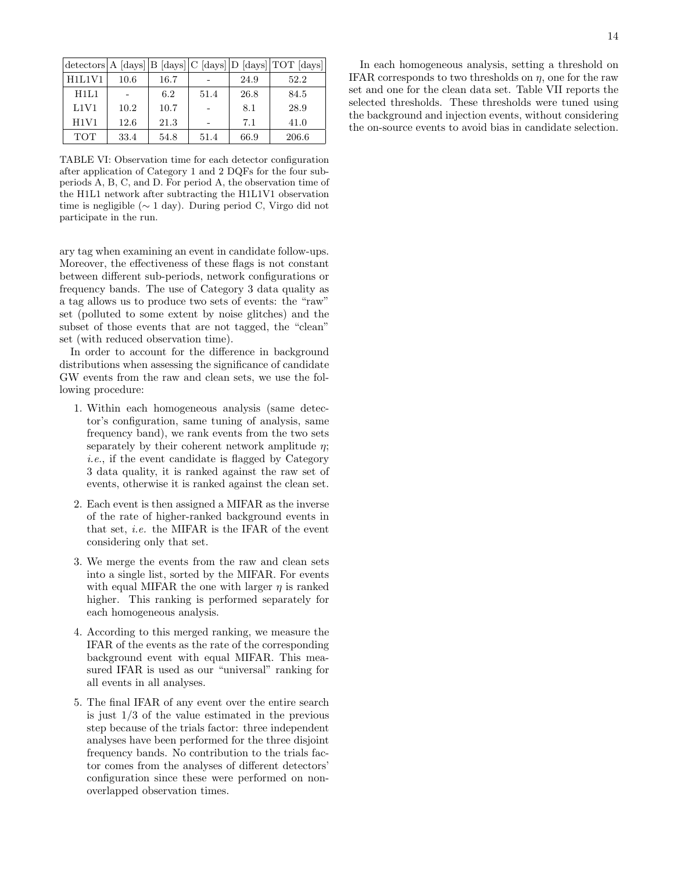|            |      |      |      |      | $\frac{1}{\text{detectors}}$ A $\frac{1}{\text{days}}$ B $\frac{1}{\text{days}}$ C $\frac{1}{\text{days}}$ $\frac{1}{\text{D}}$ $\frac{1}{\text{days}}$ |
|------------|------|------|------|------|---------------------------------------------------------------------------------------------------------------------------------------------------------|
| H1L1V1     | 10.6 | 16.7 |      | 24.9 | 52.2                                                                                                                                                    |
| H1L1       |      | 6.2  | 51.4 | 26.8 | 84.5                                                                                                                                                    |
| L1V1       | 10.2 | 10.7 |      | 8.1  | 28.9                                                                                                                                                    |
| H1V1       | 12.6 | 21.3 |      | 7.1  | 41.0                                                                                                                                                    |
| <b>TOT</b> | 33.4 | 54.8 | 51.4 | 66.9 | 206.6                                                                                                                                                   |

TABLE VI: Observation time for each detector configuration after application of Category 1 and 2 DQFs for the four subperiods A, B, C, and D. For period A, the observation time of the H1L1 network after subtracting the H1L1V1 observation time is negligible (∼ 1 day). During period C, Virgo did not participate in the run.

ary tag when examining an event in candidate follow-ups. Moreover, the effectiveness of these flags is not constant between different sub-periods, network configurations or frequency bands. The use of Category 3 data quality as a tag allows us to produce two sets of events: the "raw" set (polluted to some extent by noise glitches) and the subset of those events that are not tagged, the "clean" set (with reduced observation time).

In order to account for the difference in background distributions when assessing the significance of candidate GW events from the raw and clean sets, we use the following procedure:

- 1. Within each homogeneous analysis (same detector's configuration, same tuning of analysis, same frequency band), we rank events from the two sets separately by their coherent network amplitude  $\eta$ ; i.e., if the event candidate is flagged by Category 3 data quality, it is ranked against the raw set of events, otherwise it is ranked against the clean set.
- 2. Each event is then assigned a MIFAR as the inverse of the rate of higher-ranked background events in that set, i.e. the MIFAR is the IFAR of the event considering only that set.
- 3. We merge the events from the raw and clean sets into a single list, sorted by the MIFAR. For events with equal MIFAR the one with larger  $\eta$  is ranked higher. This ranking is performed separately for each homogeneous analysis.
- 4. According to this merged ranking, we measure the IFAR of the events as the rate of the corresponding background event with equal MIFAR. This measured IFAR is used as our "universal" ranking for all events in all analyses.
- 5. The final IFAR of any event over the entire search is just 1/3 of the value estimated in the previous step because of the trials factor: three independent analyses have been performed for the three disjoint frequency bands. No contribution to the trials factor comes from the analyses of different detectors' configuration since these were performed on nonoverlapped observation times.

In each homogeneous analysis, setting a threshold on IFAR corresponds to two thresholds on  $\eta$ , one for the raw set and one for the clean data set. Table VII reports the selected thresholds. These thresholds were tuned using the background and injection events, without considering the on-source events to avoid bias in candidate selection.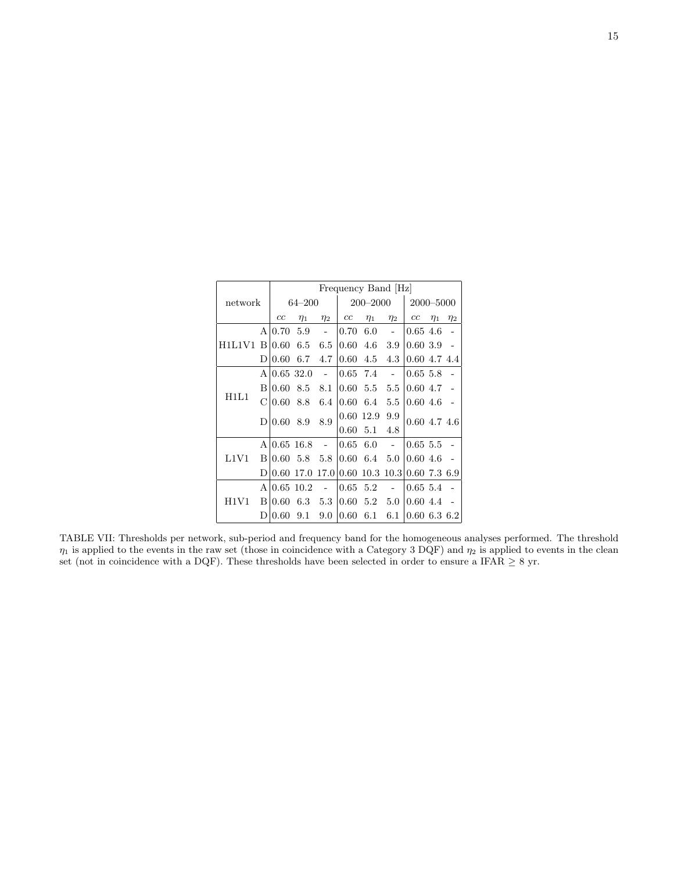| network |   | Frequency Band [Hz] |             |          |              |             |                |                  |          |                |
|---------|---|---------------------|-------------|----------|--------------|-------------|----------------|------------------|----------|----------------|
|         |   | $64 - 200$          |             |          | $200 - 2000$ |             |                | 2000-5000        |          |                |
|         |   | cc                  | $\eta_1$    | $\eta_2$ | cc           | $\eta_1$    | $\eta_2$       | cc               | $\eta_1$ | $\eta_2$       |
|         | A | 0.70                | 5.9         |          | 0.70         | 6.0         | $\overline{a}$ | 0.65, 4.6        |          |                |
| H1L1V1  | B | 0.60                | 6.5         | 6.5      | 0.60         | 4.6         | 3.9            | 0.603.9          |          |                |
|         | D | 0.60                | 6.7         | 4.7      | 0.60         | 4.5         | 4.3            | 0.60 4.7 4.4     |          |                |
|         | A |                     | 0.6532.0    |          | 0.65         | 7.4         |                | 0.65, 5.8        |          |                |
|         | B | 0.60                | 8.5         | 8.1      | 0.60         | 5.5         | 5.5            | 0.604.7          |          |                |
| H1L1    | С | 0.60                | 8.8         | 6.4      | 0.60         | 6.4         | 5.5            | 0.604.6          |          |                |
|         | D | $0.60\;8.9$         |             | 8.9      | 0.60         | 12.9        | 9.9            |                  |          | $0.60$ 4.7 4.6 |
|         |   |                     |             |          | 0.60         | 5.1         | 4.8            |                  |          |                |
|         | A |                     | $0.65$ 16.8 |          | 0.65         | 6.0         |                | 0.65, 5.5        |          |                |
| L1V1    | B | 0.60                | 5.8         | 5.8      | 0.60         | 6.4         | 5.0            | 0.604.6          |          |                |
|         | D | 0.60                | 17.0        | 17.01    |              | $0.60$ 10.3 |                | 10.3 0.607.36.9  |          |                |
| H1V1    | A |                     | $0.65$ 10.2 |          | 0.65         | 5.2         |                | 0.65, 5.4        |          |                |
|         | B | 0.60                | 6.3         | 5.3      | 0.60         | 5.2         | 5.0            | 0.604.4          |          |                |
|         | D | 0.60                | 9.1         | 9.0      | 0.60         | 6.1         | 6.1            | $0.60\,6.3\,6.2$ |          |                |

TABLE VII: Thresholds per network, sub-period and frequency band for the homogeneous analyses performed. The threshold  $\eta_1$  is applied to the events in the raw set (those in coincidence with a Category 3 DQF) and  $\eta_2$  is applied to events in the clean set (not in coincidence with a DQF). These thresholds have been selected in order to ensure a IFAR  $\geq 8$  yr.